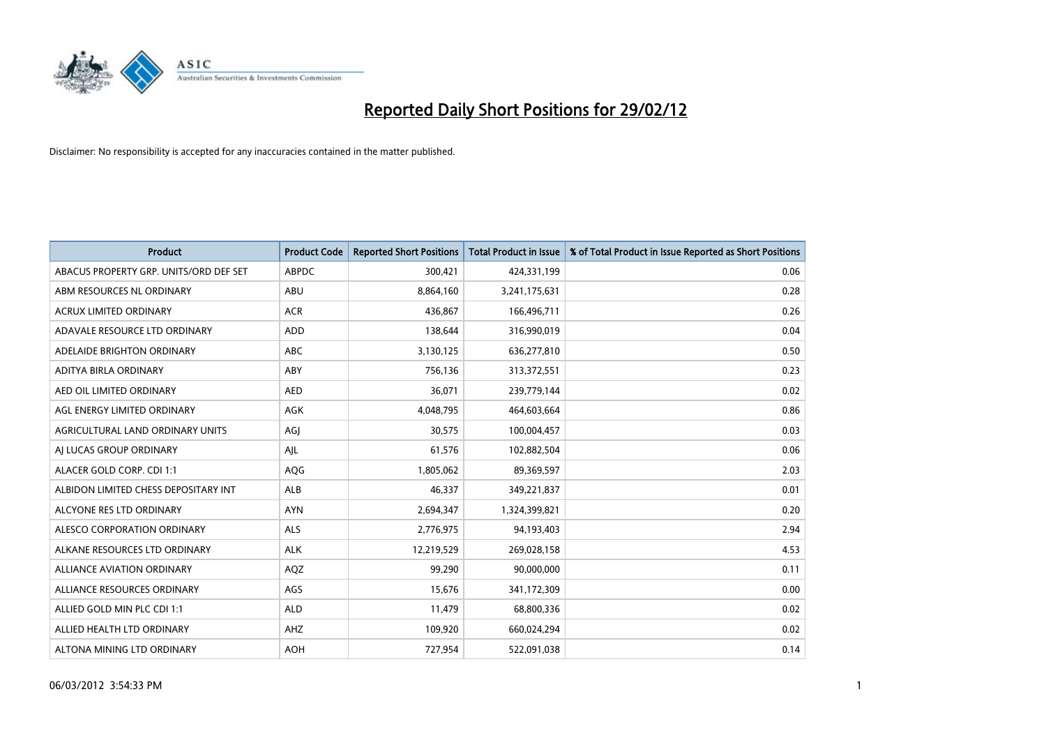

| <b>Product</b>                         | <b>Product Code</b> | <b>Reported Short Positions</b> | <b>Total Product in Issue</b> | % of Total Product in Issue Reported as Short Positions |
|----------------------------------------|---------------------|---------------------------------|-------------------------------|---------------------------------------------------------|
| ABACUS PROPERTY GRP. UNITS/ORD DEF SET | <b>ABPDC</b>        | 300,421                         | 424,331,199                   | 0.06                                                    |
| ABM RESOURCES NL ORDINARY              | ABU                 | 8,864,160                       | 3,241,175,631                 | 0.28                                                    |
| <b>ACRUX LIMITED ORDINARY</b>          | <b>ACR</b>          | 436,867                         | 166,496,711                   | 0.26                                                    |
| ADAVALE RESOURCE LTD ORDINARY          | <b>ADD</b>          | 138,644                         | 316,990,019                   | 0.04                                                    |
| ADELAIDE BRIGHTON ORDINARY             | <b>ABC</b>          | 3,130,125                       | 636,277,810                   | 0.50                                                    |
| ADITYA BIRLA ORDINARY                  | ABY                 | 756,136                         | 313,372,551                   | 0.23                                                    |
| AED OIL LIMITED ORDINARY               | <b>AED</b>          | 36,071                          | 239,779,144                   | 0.02                                                    |
| AGL ENERGY LIMITED ORDINARY            | AGK                 | 4,048,795                       | 464,603,664                   | 0.86                                                    |
| AGRICULTURAL LAND ORDINARY UNITS       | AGJ                 | 30,575                          | 100,004,457                   | 0.03                                                    |
| AI LUCAS GROUP ORDINARY                | AJL                 | 61,576                          | 102,882,504                   | 0.06                                                    |
| ALACER GOLD CORP. CDI 1:1              | AQG                 | 1,805,062                       | 89,369,597                    | 2.03                                                    |
| ALBIDON LIMITED CHESS DEPOSITARY INT   | <b>ALB</b>          | 46,337                          | 349,221,837                   | 0.01                                                    |
| ALCYONE RES LTD ORDINARY               | <b>AYN</b>          | 2,694,347                       | 1,324,399,821                 | 0.20                                                    |
| ALESCO CORPORATION ORDINARY            | <b>ALS</b>          | 2,776,975                       | 94,193,403                    | 2.94                                                    |
| ALKANE RESOURCES LTD ORDINARY          | <b>ALK</b>          | 12,219,529                      | 269,028,158                   | 4.53                                                    |
| ALLIANCE AVIATION ORDINARY             | AQZ                 | 99,290                          | 90,000,000                    | 0.11                                                    |
| ALLIANCE RESOURCES ORDINARY            | AGS                 | 15,676                          | 341,172,309                   | 0.00                                                    |
| ALLIED GOLD MIN PLC CDI 1:1            | <b>ALD</b>          | 11,479                          | 68,800,336                    | 0.02                                                    |
| ALLIED HEALTH LTD ORDINARY             | AHZ                 | 109,920                         | 660,024,294                   | 0.02                                                    |
| ALTONA MINING LTD ORDINARY             | <b>AOH</b>          | 727,954                         | 522,091,038                   | 0.14                                                    |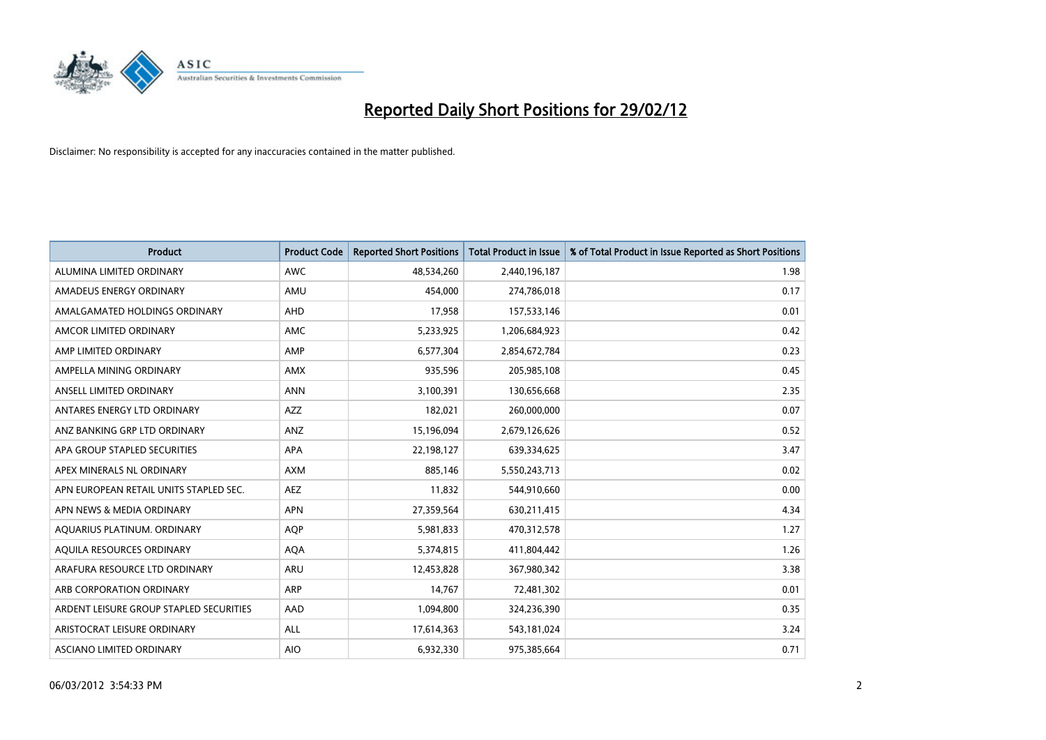

| <b>Product</b>                          | <b>Product Code</b> | <b>Reported Short Positions</b> | <b>Total Product in Issue</b> | % of Total Product in Issue Reported as Short Positions |
|-----------------------------------------|---------------------|---------------------------------|-------------------------------|---------------------------------------------------------|
| ALUMINA LIMITED ORDINARY                | <b>AWC</b>          | 48,534,260                      | 2,440,196,187                 | 1.98                                                    |
| AMADEUS ENERGY ORDINARY                 | AMU                 | 454,000                         | 274,786,018                   | 0.17                                                    |
| AMALGAMATED HOLDINGS ORDINARY           | AHD                 | 17,958                          | 157,533,146                   | 0.01                                                    |
| AMCOR LIMITED ORDINARY                  | <b>AMC</b>          | 5,233,925                       | 1,206,684,923                 | 0.42                                                    |
| AMP LIMITED ORDINARY                    | AMP                 | 6,577,304                       | 2,854,672,784                 | 0.23                                                    |
| AMPELLA MINING ORDINARY                 | <b>AMX</b>          | 935,596                         | 205,985,108                   | 0.45                                                    |
| ANSELL LIMITED ORDINARY                 | <b>ANN</b>          | 3,100,391                       | 130,656,668                   | 2.35                                                    |
| ANTARES ENERGY LTD ORDINARY             | AZZ                 | 182,021                         | 260,000,000                   | 0.07                                                    |
| ANZ BANKING GRP LTD ORDINARY            | ANZ                 | 15,196,094                      | 2,679,126,626                 | 0.52                                                    |
| APA GROUP STAPLED SECURITIES            | <b>APA</b>          | 22,198,127                      | 639,334,625                   | 3.47                                                    |
| APEX MINERALS NL ORDINARY               | <b>AXM</b>          | 885,146                         | 5,550,243,713                 | 0.02                                                    |
| APN EUROPEAN RETAIL UNITS STAPLED SEC.  | <b>AEZ</b>          | 11,832                          | 544,910,660                   | 0.00                                                    |
| APN NEWS & MEDIA ORDINARY               | <b>APN</b>          | 27,359,564                      | 630,211,415                   | 4.34                                                    |
| AQUARIUS PLATINUM. ORDINARY             | <b>AOP</b>          | 5,981,833                       | 470,312,578                   | 1.27                                                    |
| AQUILA RESOURCES ORDINARY               | <b>AQA</b>          | 5,374,815                       | 411,804,442                   | 1.26                                                    |
| ARAFURA RESOURCE LTD ORDINARY           | <b>ARU</b>          | 12,453,828                      | 367,980,342                   | 3.38                                                    |
| ARB CORPORATION ORDINARY                | <b>ARP</b>          | 14,767                          | 72,481,302                    | 0.01                                                    |
| ARDENT LEISURE GROUP STAPLED SECURITIES | AAD                 | 1,094,800                       | 324,236,390                   | 0.35                                                    |
| ARISTOCRAT LEISURE ORDINARY             | ALL                 | 17,614,363                      | 543,181,024                   | 3.24                                                    |
| ASCIANO LIMITED ORDINARY                | <b>AIO</b>          | 6,932,330                       | 975,385,664                   | 0.71                                                    |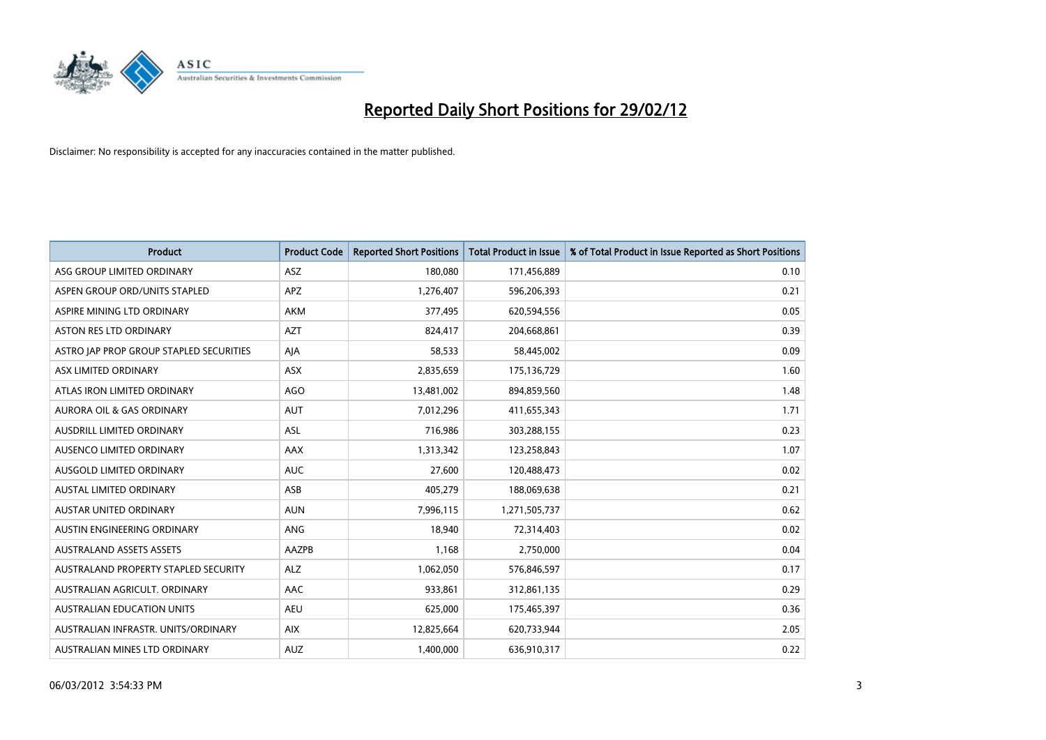

| <b>Product</b>                          | <b>Product Code</b> | <b>Reported Short Positions</b> | <b>Total Product in Issue</b> | % of Total Product in Issue Reported as Short Positions |
|-----------------------------------------|---------------------|---------------------------------|-------------------------------|---------------------------------------------------------|
| ASG GROUP LIMITED ORDINARY              | ASZ                 | 180,080                         | 171,456,889                   | 0.10                                                    |
| ASPEN GROUP ORD/UNITS STAPLED           | <b>APZ</b>          | 1,276,407                       | 596,206,393                   | 0.21                                                    |
| ASPIRE MINING LTD ORDINARY              | <b>AKM</b>          | 377,495                         | 620,594,556                   | 0.05                                                    |
| ASTON RES LTD ORDINARY                  | <b>AZT</b>          | 824,417                         | 204,668,861                   | 0.39                                                    |
| ASTRO JAP PROP GROUP STAPLED SECURITIES | AJA                 | 58,533                          | 58,445,002                    | 0.09                                                    |
| ASX LIMITED ORDINARY                    | ASX                 | 2,835,659                       | 175,136,729                   | 1.60                                                    |
| ATLAS IRON LIMITED ORDINARY             | <b>AGO</b>          | 13,481,002                      | 894,859,560                   | 1.48                                                    |
| AURORA OIL & GAS ORDINARY               | <b>AUT</b>          | 7,012,296                       | 411,655,343                   | 1.71                                                    |
| AUSDRILL LIMITED ORDINARY               | <b>ASL</b>          | 716,986                         | 303,288,155                   | 0.23                                                    |
| AUSENCO LIMITED ORDINARY                | AAX                 | 1,313,342                       | 123,258,843                   | 1.07                                                    |
| AUSGOLD LIMITED ORDINARY                | <b>AUC</b>          | 27,600                          | 120,488,473                   | 0.02                                                    |
| <b>AUSTAL LIMITED ORDINARY</b>          | ASB                 | 405,279                         | 188,069,638                   | 0.21                                                    |
| AUSTAR UNITED ORDINARY                  | <b>AUN</b>          | 7,996,115                       | 1,271,505,737                 | 0.62                                                    |
| AUSTIN ENGINEERING ORDINARY             | ANG                 | 18,940                          | 72,314,403                    | 0.02                                                    |
| <b>AUSTRALAND ASSETS ASSETS</b>         | <b>AAZPB</b>        | 1,168                           | 2,750,000                     | 0.04                                                    |
| AUSTRALAND PROPERTY STAPLED SECURITY    | <b>ALZ</b>          | 1,062,050                       | 576,846,597                   | 0.17                                                    |
| AUSTRALIAN AGRICULT. ORDINARY           | AAC                 | 933,861                         | 312,861,135                   | 0.29                                                    |
| AUSTRALIAN EDUCATION UNITS              | <b>AEU</b>          | 625,000                         | 175,465,397                   | 0.36                                                    |
| AUSTRALIAN INFRASTR, UNITS/ORDINARY     | <b>AIX</b>          | 12,825,664                      | 620,733,944                   | 2.05                                                    |
| AUSTRALIAN MINES LTD ORDINARY           | <b>AUZ</b>          | 1,400,000                       | 636,910,317                   | 0.22                                                    |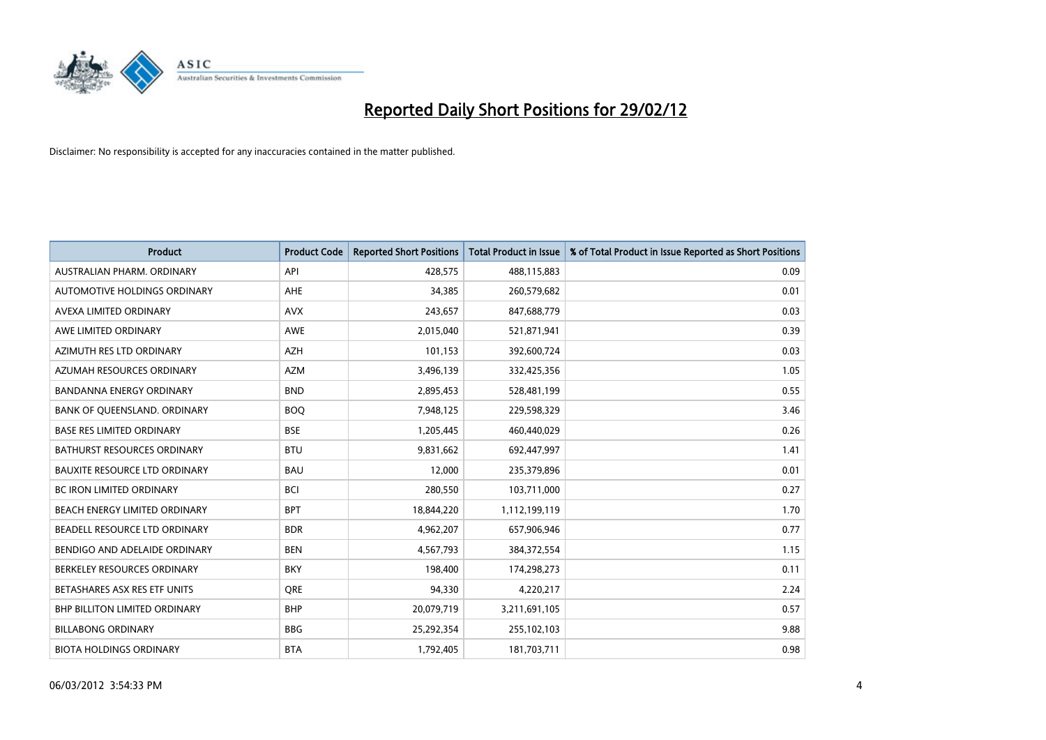

| <b>Product</b>                       | <b>Product Code</b> | <b>Reported Short Positions</b> | <b>Total Product in Issue</b> | % of Total Product in Issue Reported as Short Positions |
|--------------------------------------|---------------------|---------------------------------|-------------------------------|---------------------------------------------------------|
| AUSTRALIAN PHARM, ORDINARY           | API                 | 428,575                         | 488,115,883                   | 0.09                                                    |
| AUTOMOTIVE HOLDINGS ORDINARY         | AHE                 | 34,385                          | 260,579,682                   | 0.01                                                    |
| AVEXA LIMITED ORDINARY               | <b>AVX</b>          | 243,657                         | 847,688,779                   | 0.03                                                    |
| AWE LIMITED ORDINARY                 | AWE                 | 2,015,040                       | 521,871,941                   | 0.39                                                    |
| AZIMUTH RES LTD ORDINARY             | <b>AZH</b>          | 101,153                         | 392,600,724                   | 0.03                                                    |
| AZUMAH RESOURCES ORDINARY            | <b>AZM</b>          | 3,496,139                       | 332,425,356                   | 1.05                                                    |
| <b>BANDANNA ENERGY ORDINARY</b>      | <b>BND</b>          | 2,895,453                       | 528,481,199                   | 0.55                                                    |
| BANK OF QUEENSLAND. ORDINARY         | <b>BOQ</b>          | 7,948,125                       | 229,598,329                   | 3.46                                                    |
| <b>BASE RES LIMITED ORDINARY</b>     | <b>BSE</b>          | 1,205,445                       | 460,440,029                   | 0.26                                                    |
| <b>BATHURST RESOURCES ORDINARY</b>   | <b>BTU</b>          | 9,831,662                       | 692,447,997                   | 1.41                                                    |
| <b>BAUXITE RESOURCE LTD ORDINARY</b> | <b>BAU</b>          | 12,000                          | 235,379,896                   | 0.01                                                    |
| <b>BC IRON LIMITED ORDINARY</b>      | <b>BCI</b>          | 280,550                         | 103,711,000                   | 0.27                                                    |
| BEACH ENERGY LIMITED ORDINARY        | <b>BPT</b>          | 18,844,220                      | 1,112,199,119                 | 1.70                                                    |
| BEADELL RESOURCE LTD ORDINARY        | <b>BDR</b>          | 4,962,207                       | 657,906,946                   | 0.77                                                    |
| BENDIGO AND ADELAIDE ORDINARY        | <b>BEN</b>          | 4,567,793                       | 384, 372, 554                 | 1.15                                                    |
| BERKELEY RESOURCES ORDINARY          | <b>BKY</b>          | 198,400                         | 174,298,273                   | 0.11                                                    |
| BETASHARES ASX RES ETF UNITS         | <b>ORE</b>          | 94,330                          | 4,220,217                     | 2.24                                                    |
| BHP BILLITON LIMITED ORDINARY        | <b>BHP</b>          | 20,079,719                      | 3,211,691,105                 | 0.57                                                    |
| <b>BILLABONG ORDINARY</b>            | <b>BBG</b>          | 25,292,354                      | 255,102,103                   | 9.88                                                    |
| <b>BIOTA HOLDINGS ORDINARY</b>       | <b>BTA</b>          | 1,792,405                       | 181,703,711                   | 0.98                                                    |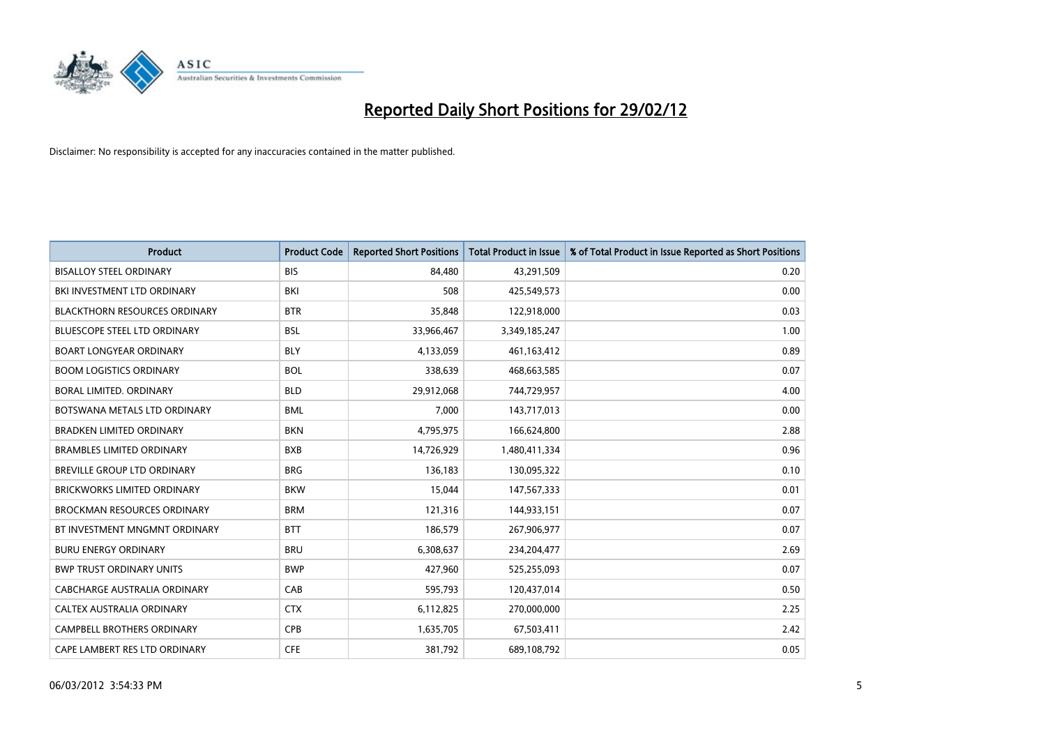

| <b>Product</b>                       | <b>Product Code</b> | <b>Reported Short Positions</b> | <b>Total Product in Issue</b> | % of Total Product in Issue Reported as Short Positions |
|--------------------------------------|---------------------|---------------------------------|-------------------------------|---------------------------------------------------------|
| <b>BISALLOY STEEL ORDINARY</b>       | <b>BIS</b>          | 84,480                          | 43,291,509                    | 0.20                                                    |
| BKI INVESTMENT LTD ORDINARY          | BKI                 | 508                             | 425,549,573                   | 0.00                                                    |
| <b>BLACKTHORN RESOURCES ORDINARY</b> | <b>BTR</b>          | 35,848                          | 122,918,000                   | 0.03                                                    |
| BLUESCOPE STEEL LTD ORDINARY         | <b>BSL</b>          | 33,966,467                      | 3,349,185,247                 | 1.00                                                    |
| <b>BOART LONGYEAR ORDINARY</b>       | <b>BLY</b>          | 4,133,059                       | 461,163,412                   | 0.89                                                    |
| <b>BOOM LOGISTICS ORDINARY</b>       | <b>BOL</b>          | 338,639                         | 468,663,585                   | 0.07                                                    |
| BORAL LIMITED, ORDINARY              | <b>BLD</b>          | 29,912,068                      | 744,729,957                   | 4.00                                                    |
| BOTSWANA METALS LTD ORDINARY         | <b>BML</b>          | 7,000                           | 143,717,013                   | 0.00                                                    |
| <b>BRADKEN LIMITED ORDINARY</b>      | <b>BKN</b>          | 4,795,975                       | 166,624,800                   | 2.88                                                    |
| <b>BRAMBLES LIMITED ORDINARY</b>     | <b>BXB</b>          | 14,726,929                      | 1,480,411,334                 | 0.96                                                    |
| BREVILLE GROUP LTD ORDINARY          | <b>BRG</b>          | 136,183                         | 130,095,322                   | 0.10                                                    |
| <b>BRICKWORKS LIMITED ORDINARY</b>   | <b>BKW</b>          | 15,044                          | 147,567,333                   | 0.01                                                    |
| <b>BROCKMAN RESOURCES ORDINARY</b>   | <b>BRM</b>          | 121,316                         | 144,933,151                   | 0.07                                                    |
| BT INVESTMENT MNGMNT ORDINARY        | <b>BTT</b>          | 186,579                         | 267,906,977                   | 0.07                                                    |
| <b>BURU ENERGY ORDINARY</b>          | <b>BRU</b>          | 6,308,637                       | 234,204,477                   | 2.69                                                    |
| <b>BWP TRUST ORDINARY UNITS</b>      | <b>BWP</b>          | 427,960                         | 525,255,093                   | 0.07                                                    |
| CABCHARGE AUSTRALIA ORDINARY         | CAB                 | 595,793                         | 120,437,014                   | 0.50                                                    |
| CALTEX AUSTRALIA ORDINARY            | <b>CTX</b>          | 6,112,825                       | 270,000,000                   | 2.25                                                    |
| <b>CAMPBELL BROTHERS ORDINARY</b>    | <b>CPB</b>          | 1,635,705                       | 67,503,411                    | 2.42                                                    |
| CAPE LAMBERT RES LTD ORDINARY        | <b>CFE</b>          | 381,792                         | 689,108,792                   | 0.05                                                    |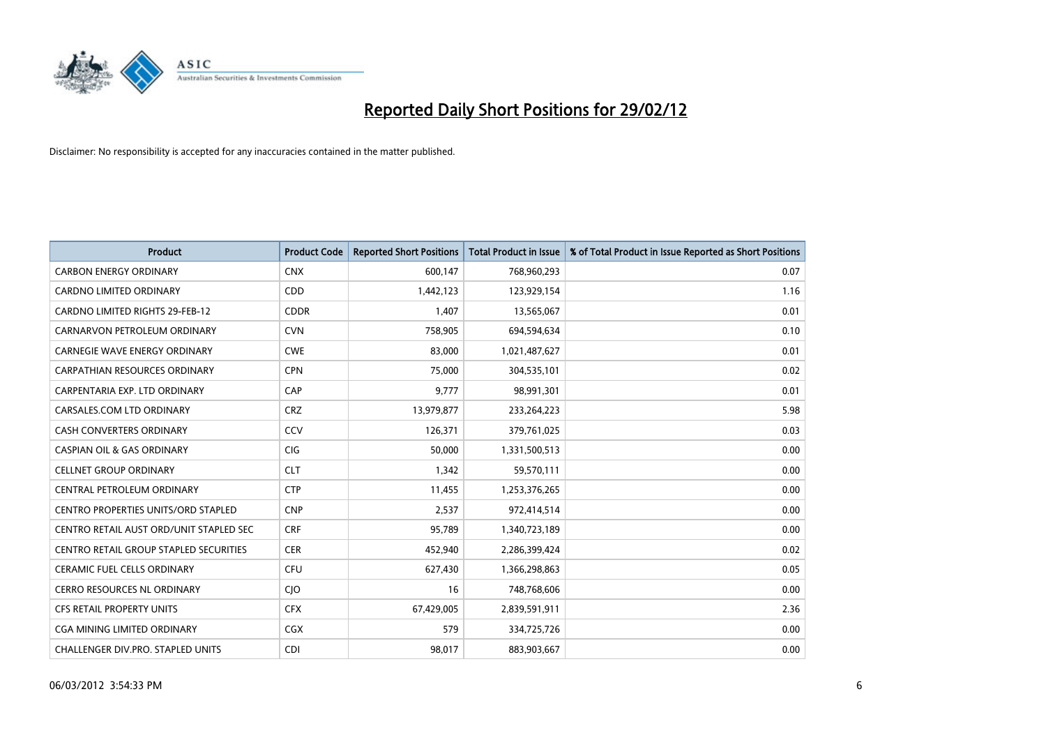

| <b>Product</b>                                | <b>Product Code</b> | <b>Reported Short Positions</b> | <b>Total Product in Issue</b> | % of Total Product in Issue Reported as Short Positions |
|-----------------------------------------------|---------------------|---------------------------------|-------------------------------|---------------------------------------------------------|
| <b>CARBON ENERGY ORDINARY</b>                 | <b>CNX</b>          | 600,147                         | 768,960,293                   | 0.07                                                    |
| CARDNO LIMITED ORDINARY                       | <b>CDD</b>          | 1,442,123                       | 123,929,154                   | 1.16                                                    |
| <b>CARDNO LIMITED RIGHTS 29-FEB-12</b>        | <b>CDDR</b>         | 1,407                           | 13,565,067                    | 0.01                                                    |
| CARNARVON PETROLEUM ORDINARY                  | <b>CVN</b>          | 758,905                         | 694,594,634                   | 0.10                                                    |
| CARNEGIE WAVE ENERGY ORDINARY                 | <b>CWE</b>          | 83,000                          | 1,021,487,627                 | 0.01                                                    |
| <b>CARPATHIAN RESOURCES ORDINARY</b>          | <b>CPN</b>          | 75,000                          | 304,535,101                   | 0.02                                                    |
| CARPENTARIA EXP. LTD ORDINARY                 | CAP                 | 9,777                           | 98,991,301                    | 0.01                                                    |
| CARSALES.COM LTD ORDINARY                     | <b>CRZ</b>          | 13,979,877                      | 233,264,223                   | 5.98                                                    |
| <b>CASH CONVERTERS ORDINARY</b>               | CCV                 | 126,371                         | 379,761,025                   | 0.03                                                    |
| <b>CASPIAN OIL &amp; GAS ORDINARY</b>         | <b>CIG</b>          | 50,000                          | 1,331,500,513                 | 0.00                                                    |
| <b>CELLNET GROUP ORDINARY</b>                 | <b>CLT</b>          | 1,342                           | 59,570,111                    | 0.00                                                    |
| CENTRAL PETROLEUM ORDINARY                    | <b>CTP</b>          | 11,455                          | 1,253,376,265                 | 0.00                                                    |
| <b>CENTRO PROPERTIES UNITS/ORD STAPLED</b>    | <b>CNP</b>          | 2,537                           | 972,414,514                   | 0.00                                                    |
| CENTRO RETAIL AUST ORD/UNIT STAPLED SEC       | <b>CRF</b>          | 95,789                          | 1,340,723,189                 | 0.00                                                    |
| <b>CENTRO RETAIL GROUP STAPLED SECURITIES</b> | <b>CER</b>          | 452,940                         | 2,286,399,424                 | 0.02                                                    |
| CERAMIC FUEL CELLS ORDINARY                   | <b>CFU</b>          | 627,430                         | 1,366,298,863                 | 0.05                                                    |
| CERRO RESOURCES NL ORDINARY                   | CJO                 | 16                              | 748,768,606                   | 0.00                                                    |
| CFS RETAIL PROPERTY UNITS                     | <b>CFX</b>          | 67,429,005                      | 2,839,591,911                 | 2.36                                                    |
| CGA MINING LIMITED ORDINARY                   | CGX                 | 579                             | 334,725,726                   | 0.00                                                    |
| CHALLENGER DIV.PRO. STAPLED UNITS             | CDI                 | 98,017                          | 883,903,667                   | 0.00                                                    |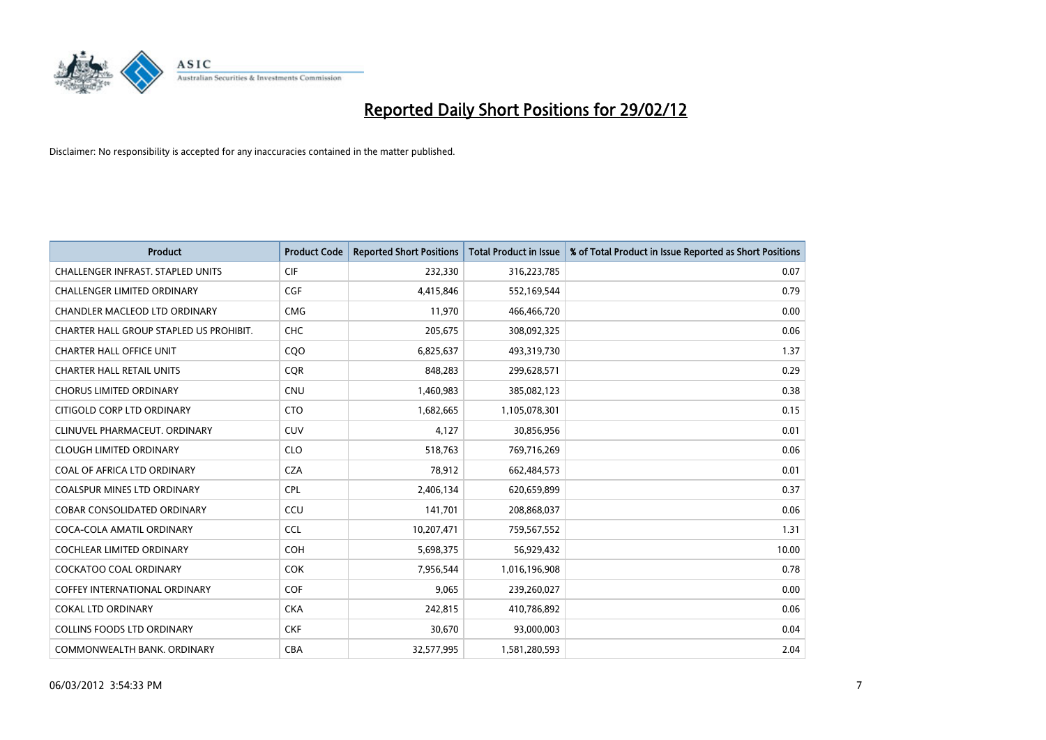

| <b>Product</b>                           | <b>Product Code</b> | <b>Reported Short Positions</b> | <b>Total Product in Issue</b> | % of Total Product in Issue Reported as Short Positions |
|------------------------------------------|---------------------|---------------------------------|-------------------------------|---------------------------------------------------------|
| <b>CHALLENGER INFRAST, STAPLED UNITS</b> | <b>CIF</b>          | 232,330                         | 316,223,785                   | 0.07                                                    |
| CHALLENGER LIMITED ORDINARY              | <b>CGF</b>          | 4,415,846                       | 552,169,544                   | 0.79                                                    |
| CHANDLER MACLEOD LTD ORDINARY            | <b>CMG</b>          | 11,970                          | 466,466,720                   | 0.00                                                    |
| CHARTER HALL GROUP STAPLED US PROHIBIT.  | <b>CHC</b>          | 205,675                         | 308,092,325                   | 0.06                                                    |
| <b>CHARTER HALL OFFICE UNIT</b>          | CQ <sub>O</sub>     | 6,825,637                       | 493,319,730                   | 1.37                                                    |
| <b>CHARTER HALL RETAIL UNITS</b>         | CQR                 | 848,283                         | 299,628,571                   | 0.29                                                    |
| <b>CHORUS LIMITED ORDINARY</b>           | <b>CNU</b>          | 1,460,983                       | 385,082,123                   | 0.38                                                    |
| CITIGOLD CORP LTD ORDINARY               | <b>CTO</b>          | 1,682,665                       | 1,105,078,301                 | 0.15                                                    |
| CLINUVEL PHARMACEUT, ORDINARY            | <b>CUV</b>          | 4,127                           | 30,856,956                    | 0.01                                                    |
| <b>CLOUGH LIMITED ORDINARY</b>           | <b>CLO</b>          | 518,763                         | 769,716,269                   | 0.06                                                    |
| COAL OF AFRICA LTD ORDINARY              | <b>CZA</b>          | 78,912                          | 662,484,573                   | 0.01                                                    |
| <b>COALSPUR MINES LTD ORDINARY</b>       | <b>CPL</b>          | 2,406,134                       | 620,659,899                   | 0.37                                                    |
| COBAR CONSOLIDATED ORDINARY              | CCU                 | 141,701                         | 208,868,037                   | 0.06                                                    |
| COCA-COLA AMATIL ORDINARY                | <b>CCL</b>          | 10,207,471                      | 759,567,552                   | 1.31                                                    |
| <b>COCHLEAR LIMITED ORDINARY</b>         | <b>COH</b>          | 5,698,375                       | 56,929,432                    | 10.00                                                   |
| COCKATOO COAL ORDINARY                   | <b>COK</b>          | 7,956,544                       | 1,016,196,908                 | 0.78                                                    |
| COFFEY INTERNATIONAL ORDINARY            | <b>COF</b>          | 9,065                           | 239,260,027                   | 0.00                                                    |
| <b>COKAL LTD ORDINARY</b>                | <b>CKA</b>          | 242,815                         | 410,786,892                   | 0.06                                                    |
| <b>COLLINS FOODS LTD ORDINARY</b>        | <b>CKF</b>          | 30,670                          | 93,000,003                    | 0.04                                                    |
| COMMONWEALTH BANK, ORDINARY              | <b>CBA</b>          | 32,577,995                      | 1,581,280,593                 | 2.04                                                    |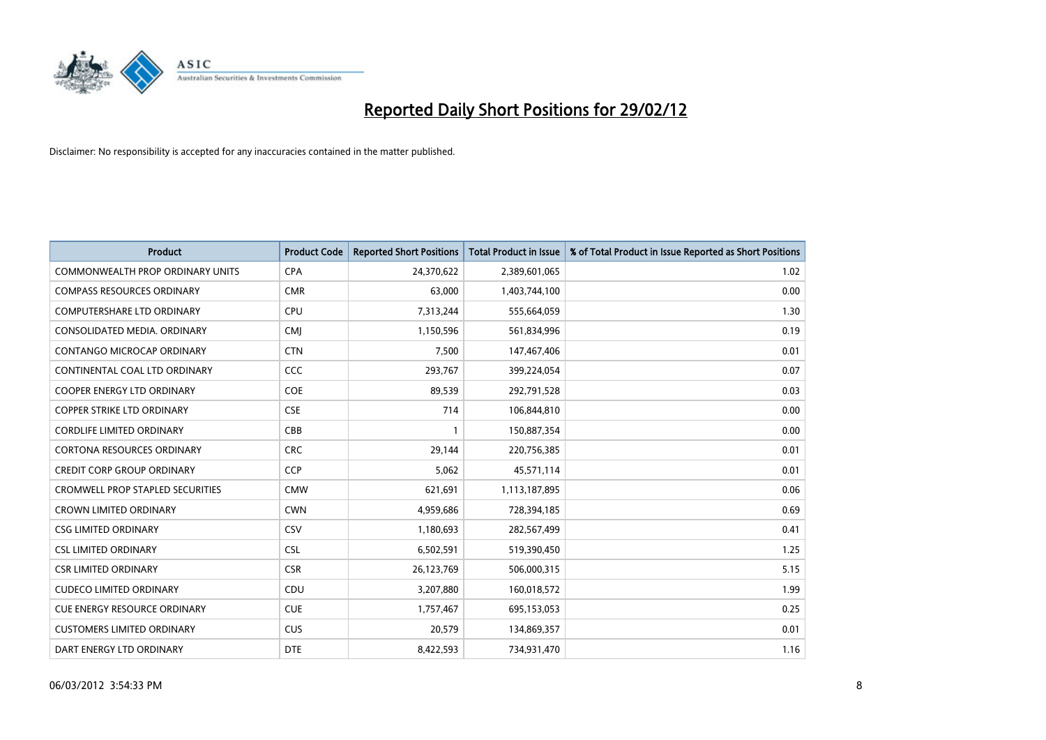

| <b>Product</b>                          | <b>Product Code</b> | <b>Reported Short Positions</b> | <b>Total Product in Issue</b> | % of Total Product in Issue Reported as Short Positions |
|-----------------------------------------|---------------------|---------------------------------|-------------------------------|---------------------------------------------------------|
| <b>COMMONWEALTH PROP ORDINARY UNITS</b> | <b>CPA</b>          | 24,370,622                      | 2,389,601,065                 | 1.02                                                    |
| <b>COMPASS RESOURCES ORDINARY</b>       | <b>CMR</b>          | 63,000                          | 1,403,744,100                 | 0.00                                                    |
| <b>COMPUTERSHARE LTD ORDINARY</b>       | <b>CPU</b>          | 7,313,244                       | 555,664,059                   | 1.30                                                    |
| CONSOLIDATED MEDIA. ORDINARY            | <b>CMJ</b>          | 1,150,596                       | 561,834,996                   | 0.19                                                    |
| CONTANGO MICROCAP ORDINARY              | <b>CTN</b>          | 7,500                           | 147,467,406                   | 0.01                                                    |
| CONTINENTAL COAL LTD ORDINARY           | <b>CCC</b>          | 293,767                         | 399,224,054                   | 0.07                                                    |
| <b>COOPER ENERGY LTD ORDINARY</b>       | <b>COE</b>          | 89,539                          | 292,791,528                   | 0.03                                                    |
| <b>COPPER STRIKE LTD ORDINARY</b>       | <b>CSE</b>          | 714                             | 106,844,810                   | 0.00                                                    |
| <b>CORDLIFE LIMITED ORDINARY</b>        | CBB                 |                                 | 150,887,354                   | 0.00                                                    |
| <b>CORTONA RESOURCES ORDINARY</b>       | <b>CRC</b>          | 29,144                          | 220,756,385                   | 0.01                                                    |
| <b>CREDIT CORP GROUP ORDINARY</b>       | <b>CCP</b>          | 5,062                           | 45,571,114                    | 0.01                                                    |
| <b>CROMWELL PROP STAPLED SECURITIES</b> | <b>CMW</b>          | 621,691                         | 1,113,187,895                 | 0.06                                                    |
| <b>CROWN LIMITED ORDINARY</b>           | <b>CWN</b>          | 4,959,686                       | 728,394,185                   | 0.69                                                    |
| <b>CSG LIMITED ORDINARY</b>             | CSV                 | 1,180,693                       | 282,567,499                   | 0.41                                                    |
| <b>CSL LIMITED ORDINARY</b>             | <b>CSL</b>          | 6,502,591                       | 519,390,450                   | 1.25                                                    |
| <b>CSR LIMITED ORDINARY</b>             | <b>CSR</b>          | 26,123,769                      | 506,000,315                   | 5.15                                                    |
| <b>CUDECO LIMITED ORDINARY</b>          | CDU                 | 3,207,880                       | 160,018,572                   | 1.99                                                    |
| CUE ENERGY RESOURCE ORDINARY            | <b>CUE</b>          | 1,757,467                       | 695,153,053                   | 0.25                                                    |
| <b>CUSTOMERS LIMITED ORDINARY</b>       | <b>CUS</b>          | 20,579                          | 134,869,357                   | 0.01                                                    |
| DART ENERGY LTD ORDINARY                | <b>DTE</b>          | 8,422,593                       | 734,931,470                   | 1.16                                                    |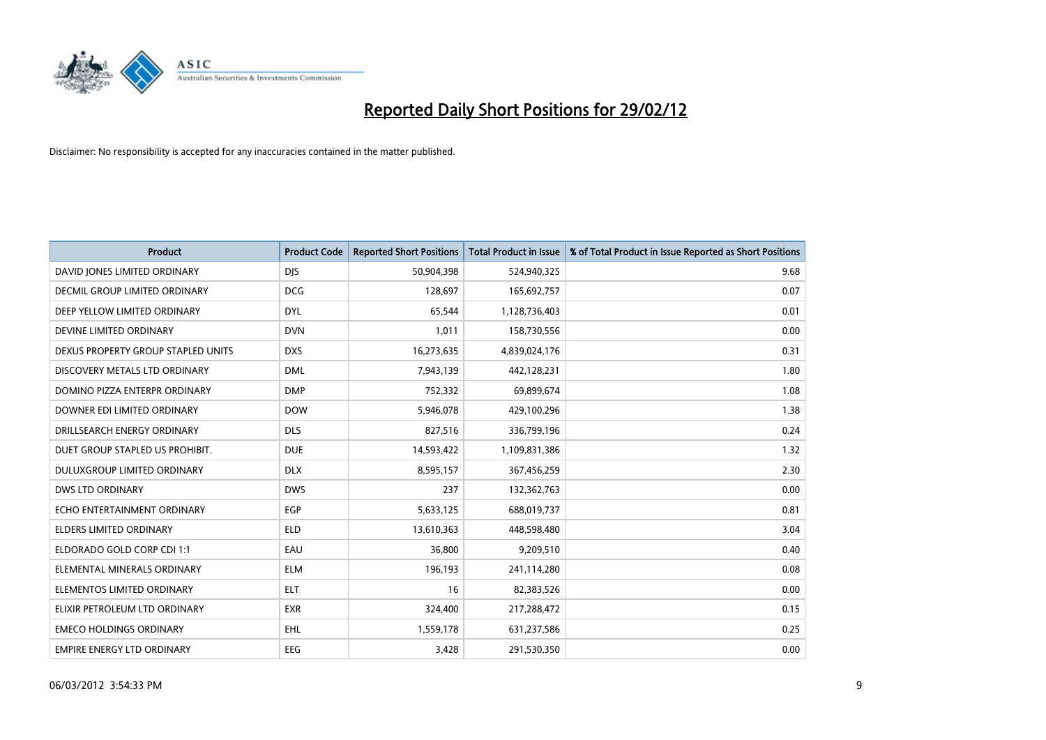

| <b>Product</b>                     | <b>Product Code</b> | <b>Reported Short Positions</b> | <b>Total Product in Issue</b> | % of Total Product in Issue Reported as Short Positions |
|------------------------------------|---------------------|---------------------------------|-------------------------------|---------------------------------------------------------|
| DAVID JONES LIMITED ORDINARY       | <b>DJS</b>          | 50,904,398                      | 524,940,325                   | 9.68                                                    |
| DECMIL GROUP LIMITED ORDINARY      | <b>DCG</b>          | 128,697                         | 165,692,757                   | 0.07                                                    |
| DEEP YELLOW LIMITED ORDINARY       | <b>DYL</b>          | 65,544                          | 1,128,736,403                 | 0.01                                                    |
| DEVINE LIMITED ORDINARY            | <b>DVN</b>          | 1,011                           | 158,730,556                   | 0.00                                                    |
| DEXUS PROPERTY GROUP STAPLED UNITS | <b>DXS</b>          | 16,273,635                      | 4,839,024,176                 | 0.31                                                    |
| DISCOVERY METALS LTD ORDINARY      | <b>DML</b>          | 7,943,139                       | 442,128,231                   | 1.80                                                    |
| DOMINO PIZZA ENTERPR ORDINARY      | <b>DMP</b>          | 752,332                         | 69,899,674                    | 1.08                                                    |
| DOWNER EDI LIMITED ORDINARY        | <b>DOW</b>          | 5,946,078                       | 429,100,296                   | 1.38                                                    |
| DRILLSEARCH ENERGY ORDINARY        | <b>DLS</b>          | 827,516                         | 336,799,196                   | 0.24                                                    |
| DUET GROUP STAPLED US PROHIBIT.    | <b>DUE</b>          | 14,593,422                      | 1,109,831,386                 | 1.32                                                    |
| DULUXGROUP LIMITED ORDINARY        | <b>DLX</b>          | 8,595,157                       | 367,456,259                   | 2.30                                                    |
| <b>DWS LTD ORDINARY</b>            | <b>DWS</b>          | 237                             | 132,362,763                   | 0.00                                                    |
| ECHO ENTERTAINMENT ORDINARY        | <b>EGP</b>          | 5,633,125                       | 688,019,737                   | 0.81                                                    |
| <b>ELDERS LIMITED ORDINARY</b>     | <b>ELD</b>          | 13,610,363                      | 448,598,480                   | 3.04                                                    |
| ELDORADO GOLD CORP CDI 1:1         | EAU                 | 36,800                          | 9,209,510                     | 0.40                                                    |
| ELEMENTAL MINERALS ORDINARY        | <b>ELM</b>          | 196,193                         | 241,114,280                   | 0.08                                                    |
| ELEMENTOS LIMITED ORDINARY         | ELT                 | 16                              | 82,383,526                    | 0.00                                                    |
| ELIXIR PETROLEUM LTD ORDINARY      | <b>EXR</b>          | 324,400                         | 217,288,472                   | 0.15                                                    |
| <b>EMECO HOLDINGS ORDINARY</b>     | <b>EHL</b>          | 1,559,178                       | 631,237,586                   | 0.25                                                    |
| <b>EMPIRE ENERGY LTD ORDINARY</b>  | <b>EEG</b>          | 3,428                           | 291,530,350                   | 0.00                                                    |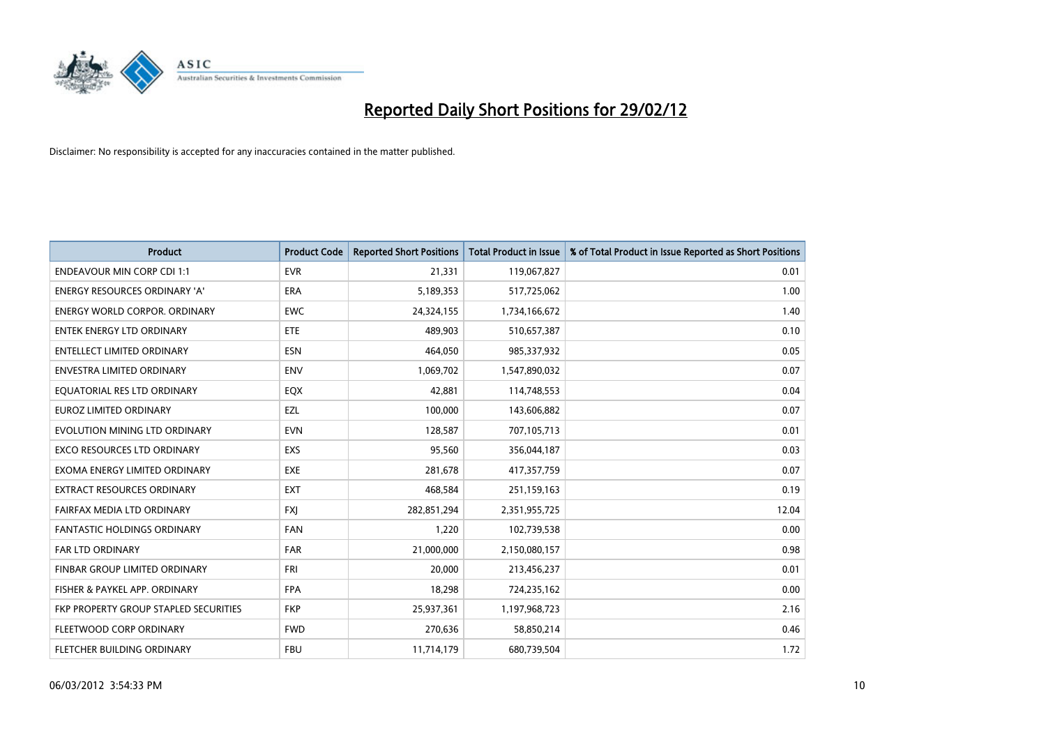

| <b>Product</b>                        | <b>Product Code</b> | <b>Reported Short Positions</b> | <b>Total Product in Issue</b> | % of Total Product in Issue Reported as Short Positions |
|---------------------------------------|---------------------|---------------------------------|-------------------------------|---------------------------------------------------------|
| <b>ENDEAVOUR MIN CORP CDI 1:1</b>     | <b>EVR</b>          | 21,331                          | 119,067,827                   | 0.01                                                    |
| ENERGY RESOURCES ORDINARY 'A'         | ERA                 | 5,189,353                       | 517,725,062                   | 1.00                                                    |
| ENERGY WORLD CORPOR. ORDINARY         | <b>EWC</b>          | 24,324,155                      | 1,734,166,672                 | 1.40                                                    |
| ENTEK ENERGY LTD ORDINARY             | <b>ETE</b>          | 489,903                         | 510,657,387                   | 0.10                                                    |
| <b>ENTELLECT LIMITED ORDINARY</b>     | <b>ESN</b>          | 464,050                         | 985,337,932                   | 0.05                                                    |
| <b>ENVESTRA LIMITED ORDINARY</b>      | <b>ENV</b>          | 1,069,702                       | 1,547,890,032                 | 0.07                                                    |
| EQUATORIAL RES LTD ORDINARY           | EQX                 | 42,881                          | 114,748,553                   | 0.04                                                    |
| EUROZ LIMITED ORDINARY                | EZL                 | 100,000                         | 143,606,882                   | 0.07                                                    |
| EVOLUTION MINING LTD ORDINARY         | <b>EVN</b>          | 128,587                         | 707,105,713                   | 0.01                                                    |
| <b>EXCO RESOURCES LTD ORDINARY</b>    | EXS                 | 95,560                          | 356,044,187                   | 0.03                                                    |
| EXOMA ENERGY LIMITED ORDINARY         | <b>EXE</b>          | 281,678                         | 417,357,759                   | 0.07                                                    |
| EXTRACT RESOURCES ORDINARY            | <b>EXT</b>          | 468,584                         | 251,159,163                   | 0.19                                                    |
| FAIRFAX MEDIA LTD ORDINARY            | <b>FXJ</b>          | 282,851,294                     | 2,351,955,725                 | 12.04                                                   |
| <b>FANTASTIC HOLDINGS ORDINARY</b>    | <b>FAN</b>          | 1,220                           | 102,739,538                   | 0.00                                                    |
| <b>FAR LTD ORDINARY</b>               | <b>FAR</b>          | 21,000,000                      | 2,150,080,157                 | 0.98                                                    |
| FINBAR GROUP LIMITED ORDINARY         | <b>FRI</b>          | 20,000                          | 213,456,237                   | 0.01                                                    |
| FISHER & PAYKEL APP. ORDINARY         | <b>FPA</b>          | 18,298                          | 724,235,162                   | 0.00                                                    |
| FKP PROPERTY GROUP STAPLED SECURITIES | <b>FKP</b>          | 25,937,361                      | 1,197,968,723                 | 2.16                                                    |
| FLEETWOOD CORP ORDINARY               | <b>FWD</b>          | 270,636                         | 58,850,214                    | 0.46                                                    |
| FLETCHER BUILDING ORDINARY            | <b>FBU</b>          | 11,714,179                      | 680,739,504                   | 1.72                                                    |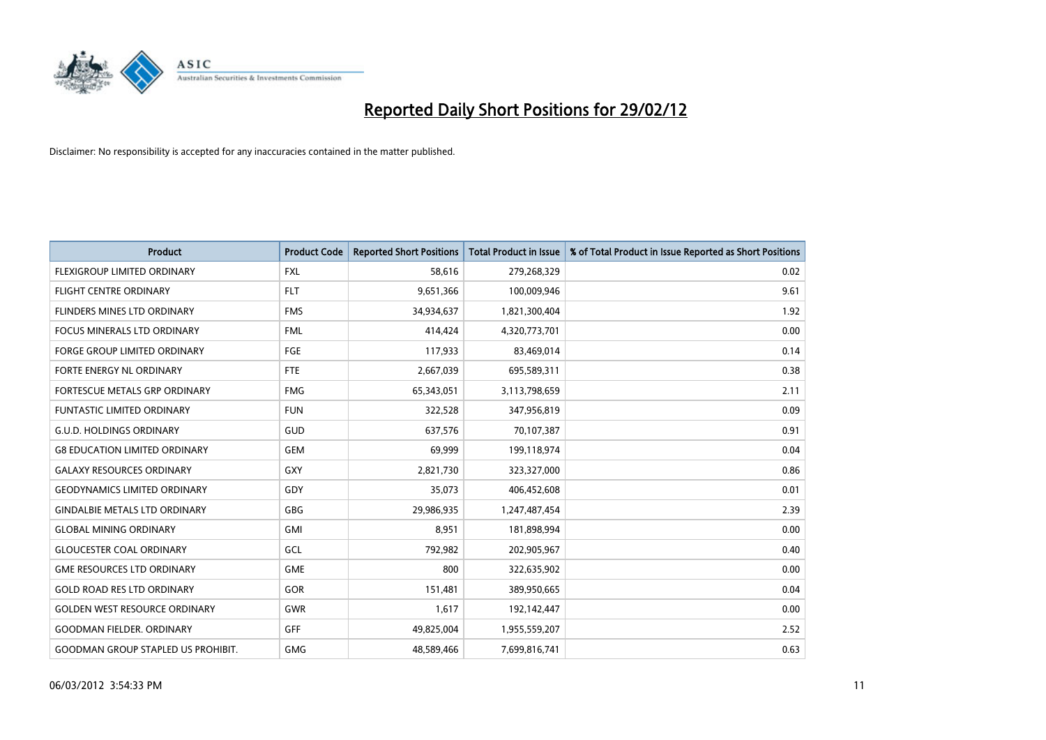

| <b>Product</b>                            | <b>Product Code</b> | <b>Reported Short Positions</b> | <b>Total Product in Issue</b> | % of Total Product in Issue Reported as Short Positions |
|-------------------------------------------|---------------------|---------------------------------|-------------------------------|---------------------------------------------------------|
| <b>FLEXIGROUP LIMITED ORDINARY</b>        | <b>FXL</b>          | 58,616                          | 279,268,329                   | 0.02                                                    |
| FLIGHT CENTRE ORDINARY                    | <b>FLT</b>          | 9,651,366                       | 100,009,946                   | 9.61                                                    |
| FLINDERS MINES LTD ORDINARY               | <b>FMS</b>          | 34,934,637                      | 1,821,300,404                 | 1.92                                                    |
| <b>FOCUS MINERALS LTD ORDINARY</b>        | <b>FML</b>          | 414,424                         | 4,320,773,701                 | 0.00                                                    |
| <b>FORGE GROUP LIMITED ORDINARY</b>       | FGE                 | 117,933                         | 83,469,014                    | 0.14                                                    |
| FORTE ENERGY NL ORDINARY                  | <b>FTE</b>          | 2,667,039                       | 695,589,311                   | 0.38                                                    |
| FORTESCUE METALS GRP ORDINARY             | <b>FMG</b>          | 65,343,051                      | 3,113,798,659                 | 2.11                                                    |
| <b>FUNTASTIC LIMITED ORDINARY</b>         | <b>FUN</b>          | 322,528                         | 347,956,819                   | 0.09                                                    |
| <b>G.U.D. HOLDINGS ORDINARY</b>           | GUD                 | 637,576                         | 70,107,387                    | 0.91                                                    |
| <b>G8 EDUCATION LIMITED ORDINARY</b>      | <b>GEM</b>          | 69,999                          | 199,118,974                   | 0.04                                                    |
| <b>GALAXY RESOURCES ORDINARY</b>          | GXY                 | 2,821,730                       | 323,327,000                   | 0.86                                                    |
| <b>GEODYNAMICS LIMITED ORDINARY</b>       | GDY                 | 35,073                          | 406,452,608                   | 0.01                                                    |
| <b>GINDALBIE METALS LTD ORDINARY</b>      | GBG                 | 29,986,935                      | 1,247,487,454                 | 2.39                                                    |
| <b>GLOBAL MINING ORDINARY</b>             | <b>GMI</b>          | 8,951                           | 181,898,994                   | 0.00                                                    |
| <b>GLOUCESTER COAL ORDINARY</b>           | GCL                 | 792,982                         | 202,905,967                   | 0.40                                                    |
| <b>GME RESOURCES LTD ORDINARY</b>         | <b>GME</b>          | 800                             | 322,635,902                   | 0.00                                                    |
| <b>GOLD ROAD RES LTD ORDINARY</b>         | GOR                 | 151,481                         | 389,950,665                   | 0.04                                                    |
| <b>GOLDEN WEST RESOURCE ORDINARY</b>      | <b>GWR</b>          | 1,617                           | 192,142,447                   | 0.00                                                    |
| <b>GOODMAN FIELDER, ORDINARY</b>          | GFF                 | 49,825,004                      | 1,955,559,207                 | 2.52                                                    |
| <b>GOODMAN GROUP STAPLED US PROHIBIT.</b> | <b>GMG</b>          | 48,589,466                      | 7,699,816,741                 | 0.63                                                    |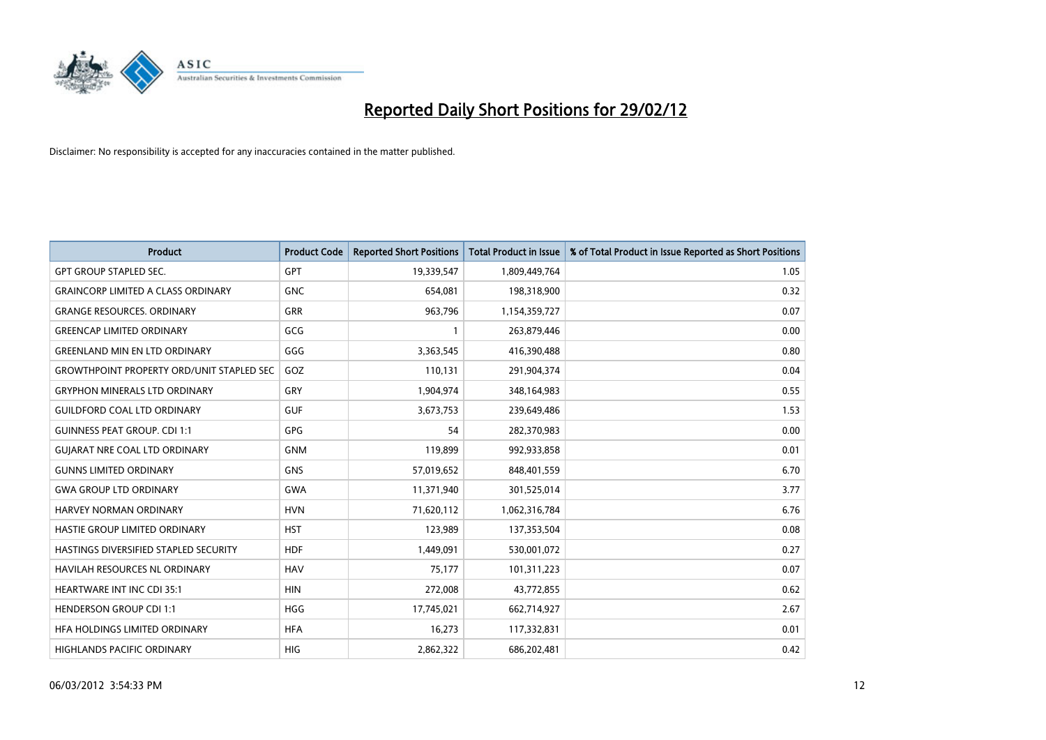

| <b>Product</b>                                   | <b>Product Code</b> | <b>Reported Short Positions</b> | <b>Total Product in Issue</b> | % of Total Product in Issue Reported as Short Positions |
|--------------------------------------------------|---------------------|---------------------------------|-------------------------------|---------------------------------------------------------|
| <b>GPT GROUP STAPLED SEC.</b>                    | <b>GPT</b>          | 19,339,547                      | 1,809,449,764                 | 1.05                                                    |
| <b>GRAINCORP LIMITED A CLASS ORDINARY</b>        | <b>GNC</b>          | 654,081                         | 198,318,900                   | 0.32                                                    |
| <b>GRANGE RESOURCES, ORDINARY</b>                | <b>GRR</b>          | 963,796                         | 1,154,359,727                 | 0.07                                                    |
| <b>GREENCAP LIMITED ORDINARY</b>                 | GCG                 | $\mathbf{1}$                    | 263,879,446                   | 0.00                                                    |
| <b>GREENLAND MIN EN LTD ORDINARY</b>             | GGG                 | 3,363,545                       | 416,390,488                   | 0.80                                                    |
| <b>GROWTHPOINT PROPERTY ORD/UNIT STAPLED SEC</b> | GOZ                 | 110,131                         | 291,904,374                   | 0.04                                                    |
| <b>GRYPHON MINERALS LTD ORDINARY</b>             | <b>GRY</b>          | 1,904,974                       | 348,164,983                   | 0.55                                                    |
| <b>GUILDFORD COAL LTD ORDINARY</b>               | <b>GUF</b>          | 3,673,753                       | 239,649,486                   | 1.53                                                    |
| <b>GUINNESS PEAT GROUP. CDI 1:1</b>              | <b>GPG</b>          | 54                              | 282,370,983                   | 0.00                                                    |
| <b>GUIARAT NRE COAL LTD ORDINARY</b>             | <b>GNM</b>          | 119,899                         | 992,933,858                   | 0.01                                                    |
| <b>GUNNS LIMITED ORDINARY</b>                    | <b>GNS</b>          | 57,019,652                      | 848,401,559                   | 6.70                                                    |
| <b>GWA GROUP LTD ORDINARY</b>                    | <b>GWA</b>          | 11,371,940                      | 301,525,014                   | 3.77                                                    |
| HARVEY NORMAN ORDINARY                           | <b>HVN</b>          | 71,620,112                      | 1,062,316,784                 | 6.76                                                    |
| HASTIE GROUP LIMITED ORDINARY                    | <b>HST</b>          | 123,989                         | 137,353,504                   | 0.08                                                    |
| HASTINGS DIVERSIFIED STAPLED SECURITY            | <b>HDF</b>          | 1,449,091                       | 530,001,072                   | 0.27                                                    |
| HAVILAH RESOURCES NL ORDINARY                    | <b>HAV</b>          | 75,177                          | 101,311,223                   | 0.07                                                    |
| HEARTWARE INT INC CDI 35:1                       | <b>HIN</b>          | 272,008                         | 43,772,855                    | 0.62                                                    |
| <b>HENDERSON GROUP CDI 1:1</b>                   | <b>HGG</b>          | 17,745,021                      | 662,714,927                   | 2.67                                                    |
| HFA HOLDINGS LIMITED ORDINARY                    | <b>HFA</b>          | 16,273                          | 117,332,831                   | 0.01                                                    |
| HIGHLANDS PACIFIC ORDINARY                       | HIG                 | 2,862,322                       | 686,202,481                   | 0.42                                                    |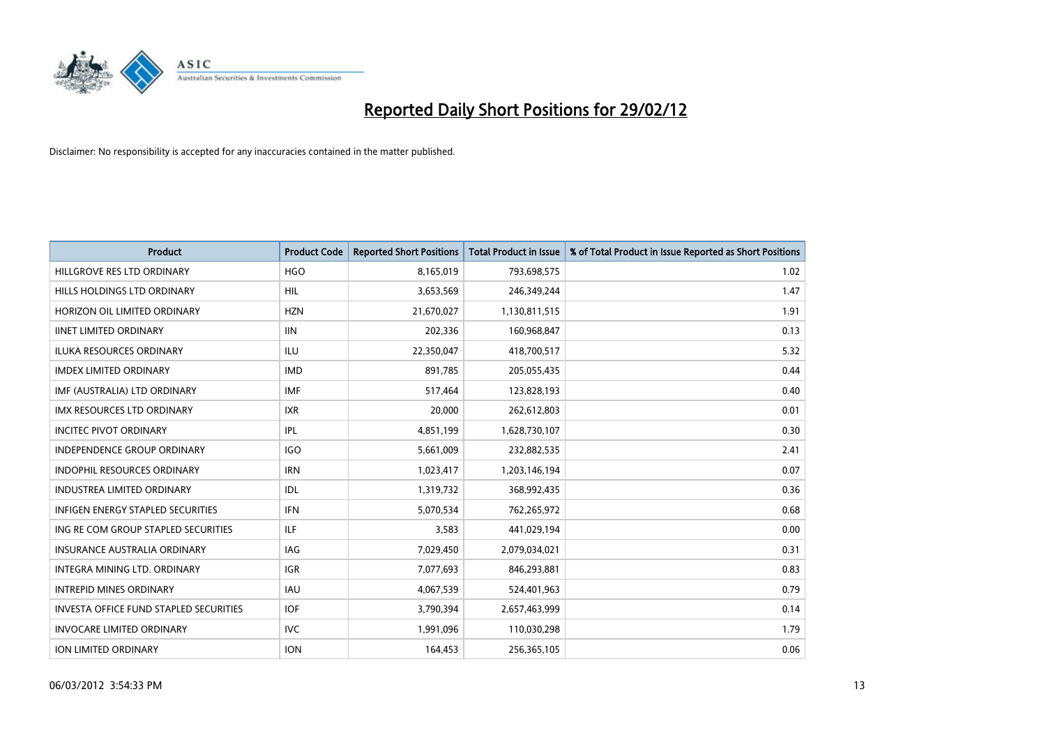

| <b>Product</b>                                | <b>Product Code</b> | <b>Reported Short Positions</b> | <b>Total Product in Issue</b> | % of Total Product in Issue Reported as Short Positions |
|-----------------------------------------------|---------------------|---------------------------------|-------------------------------|---------------------------------------------------------|
| HILLGROVE RES LTD ORDINARY                    | <b>HGO</b>          | 8,165,019                       | 793,698,575                   | 1.02                                                    |
| HILLS HOLDINGS LTD ORDINARY                   | <b>HIL</b>          | 3,653,569                       | 246,349,244                   | 1.47                                                    |
| HORIZON OIL LIMITED ORDINARY                  | <b>HZN</b>          | 21,670,027                      | 1,130,811,515                 | 1.91                                                    |
| <b>IINET LIMITED ORDINARY</b>                 | <b>IIN</b>          | 202,336                         | 160,968,847                   | 0.13                                                    |
| <b>ILUKA RESOURCES ORDINARY</b>               | ILU                 | 22,350,047                      | 418,700,517                   | 5.32                                                    |
| <b>IMDEX LIMITED ORDINARY</b>                 | <b>IMD</b>          | 891,785                         | 205,055,435                   | 0.44                                                    |
| IMF (AUSTRALIA) LTD ORDINARY                  | <b>IMF</b>          | 517,464                         | 123,828,193                   | 0.40                                                    |
| IMX RESOURCES LTD ORDINARY                    | <b>IXR</b>          | 20,000                          | 262,612,803                   | 0.01                                                    |
| <b>INCITEC PIVOT ORDINARY</b>                 | IPL                 | 4,851,199                       | 1,628,730,107                 | 0.30                                                    |
| <b>INDEPENDENCE GROUP ORDINARY</b>            | <b>IGO</b>          | 5,661,009                       | 232,882,535                   | 2.41                                                    |
| INDOPHIL RESOURCES ORDINARY                   | <b>IRN</b>          | 1,023,417                       | 1,203,146,194                 | 0.07                                                    |
| <b>INDUSTREA LIMITED ORDINARY</b>             | IDL                 | 1,319,732                       | 368,992,435                   | 0.36                                                    |
| <b>INFIGEN ENERGY STAPLED SECURITIES</b>      | <b>IFN</b>          | 5,070,534                       | 762,265,972                   | 0.68                                                    |
| ING RE COM GROUP STAPLED SECURITIES           | ILF.                | 3,583                           | 441,029,194                   | 0.00                                                    |
| <b>INSURANCE AUSTRALIA ORDINARY</b>           | <b>IAG</b>          | 7,029,450                       | 2,079,034,021                 | 0.31                                                    |
| INTEGRA MINING LTD, ORDINARY                  | <b>IGR</b>          | 7,077,693                       | 846,293,881                   | 0.83                                                    |
| <b>INTREPID MINES ORDINARY</b>                | <b>IAU</b>          | 4,067,539                       | 524,401,963                   | 0.79                                                    |
| <b>INVESTA OFFICE FUND STAPLED SECURITIES</b> | <b>IOF</b>          | 3,790,394                       | 2,657,463,999                 | 0.14                                                    |
| <b>INVOCARE LIMITED ORDINARY</b>              | <b>IVC</b>          | 1,991,096                       | 110,030,298                   | 1.79                                                    |
| <b>ION LIMITED ORDINARY</b>                   | <b>ION</b>          | 164,453                         | 256,365,105                   | 0.06                                                    |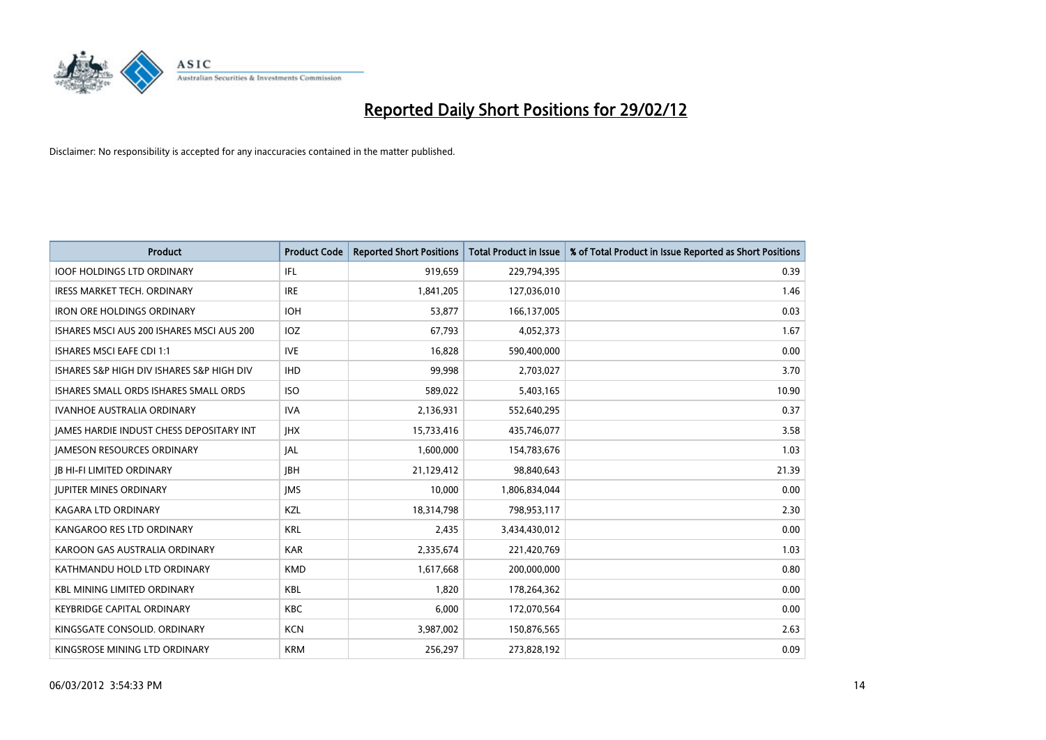

| <b>Product</b>                            | <b>Product Code</b> | <b>Reported Short Positions</b> | <b>Total Product in Issue</b> | % of Total Product in Issue Reported as Short Positions |
|-------------------------------------------|---------------------|---------------------------------|-------------------------------|---------------------------------------------------------|
| <b>IOOF HOLDINGS LTD ORDINARY</b>         | IFL                 | 919,659                         | 229,794,395                   | 0.39                                                    |
| IRESS MARKET TECH. ORDINARY               | <b>IRE</b>          | 1,841,205                       | 127,036,010                   | 1.46                                                    |
| <b>IRON ORE HOLDINGS ORDINARY</b>         | <b>IOH</b>          | 53,877                          | 166,137,005                   | 0.03                                                    |
| ISHARES MSCI AUS 200 ISHARES MSCI AUS 200 | IOZ                 | 67,793                          | 4,052,373                     | 1.67                                                    |
| <b>ISHARES MSCI EAFE CDI 1:1</b>          | <b>IVE</b>          | 16,828                          | 590,400,000                   | 0.00                                                    |
| ISHARES S&P HIGH DIV ISHARES S&P HIGH DIV | <b>IHD</b>          | 99,998                          | 2,703,027                     | 3.70                                                    |
| ISHARES SMALL ORDS ISHARES SMALL ORDS     | <b>ISO</b>          | 589,022                         | 5,403,165                     | 10.90                                                   |
| <b>IVANHOE AUSTRALIA ORDINARY</b>         | <b>IVA</b>          | 2,136,931                       | 552,640,295                   | 0.37                                                    |
| JAMES HARDIE INDUST CHESS DEPOSITARY INT  | <b>JHX</b>          | 15,733,416                      | 435,746,077                   | 3.58                                                    |
| <b>JAMESON RESOURCES ORDINARY</b>         | JAL                 | 1,600,000                       | 154,783,676                   | 1.03                                                    |
| <b>JB HI-FI LIMITED ORDINARY</b>          | <b>JBH</b>          | 21,129,412                      | 98,840,643                    | 21.39                                                   |
| <b>JUPITER MINES ORDINARY</b>             | <b>IMS</b>          | 10,000                          | 1,806,834,044                 | 0.00                                                    |
| <b>KAGARA LTD ORDINARY</b>                | KZL                 | 18,314,798                      | 798,953,117                   | 2.30                                                    |
| KANGAROO RES LTD ORDINARY                 | <b>KRL</b>          | 2,435                           | 3,434,430,012                 | 0.00                                                    |
| KAROON GAS AUSTRALIA ORDINARY             | <b>KAR</b>          | 2,335,674                       | 221,420,769                   | 1.03                                                    |
| KATHMANDU HOLD LTD ORDINARY               | <b>KMD</b>          | 1,617,668                       | 200,000,000                   | 0.80                                                    |
| <b>KBL MINING LIMITED ORDINARY</b>        | <b>KBL</b>          | 1,820                           | 178,264,362                   | 0.00                                                    |
| <b>KEYBRIDGE CAPITAL ORDINARY</b>         | <b>KBC</b>          | 6,000                           | 172,070,564                   | 0.00                                                    |
| KINGSGATE CONSOLID. ORDINARY              | <b>KCN</b>          | 3,987,002                       | 150,876,565                   | 2.63                                                    |
| KINGSROSE MINING LTD ORDINARY             | <b>KRM</b>          | 256,297                         | 273,828,192                   | 0.09                                                    |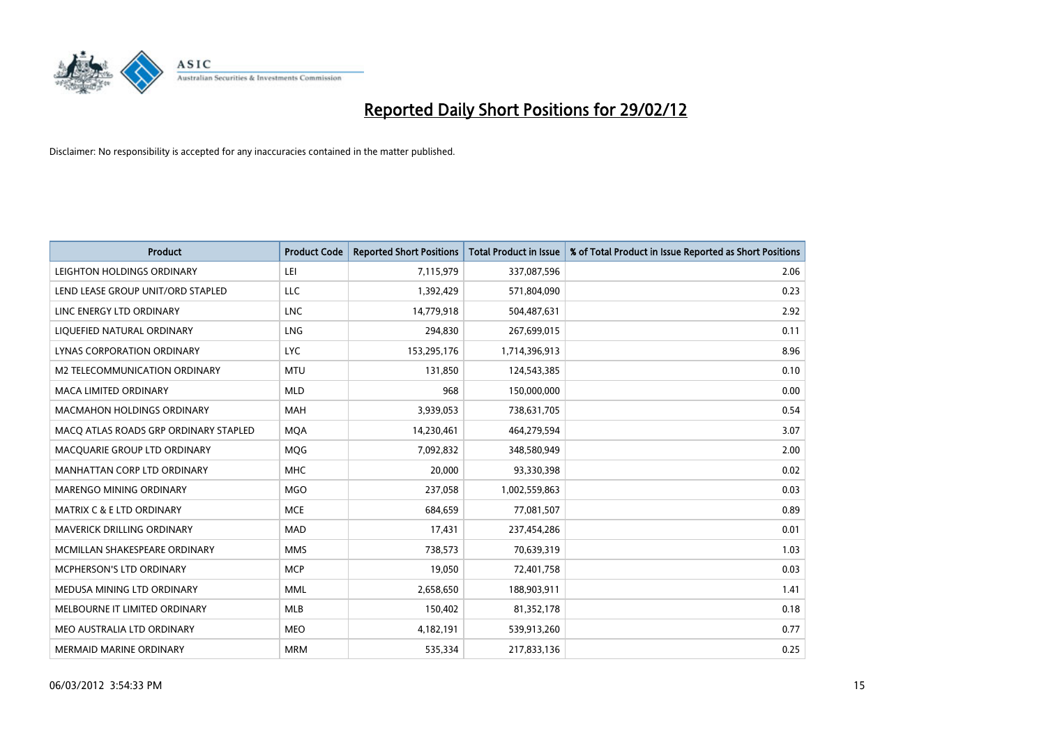

| <b>Product</b>                        | <b>Product Code</b> | <b>Reported Short Positions</b> | <b>Total Product in Issue</b> | % of Total Product in Issue Reported as Short Positions |
|---------------------------------------|---------------------|---------------------------------|-------------------------------|---------------------------------------------------------|
| LEIGHTON HOLDINGS ORDINARY            | LEI                 | 7,115,979                       | 337,087,596                   | 2.06                                                    |
| LEND LEASE GROUP UNIT/ORD STAPLED     | LLC                 | 1,392,429                       | 571,804,090                   | 0.23                                                    |
| LINC ENERGY LTD ORDINARY              | <b>LNC</b>          | 14,779,918                      | 504,487,631                   | 2.92                                                    |
| LIQUEFIED NATURAL ORDINARY            | <b>LNG</b>          | 294,830                         | 267,699,015                   | 0.11                                                    |
| <b>LYNAS CORPORATION ORDINARY</b>     | <b>LYC</b>          | 153,295,176                     | 1,714,396,913                 | 8.96                                                    |
| M2 TELECOMMUNICATION ORDINARY         | <b>MTU</b>          | 131,850                         | 124,543,385                   | 0.10                                                    |
| MACA LIMITED ORDINARY                 | <b>MLD</b>          | 968                             | 150,000,000                   | 0.00                                                    |
| <b>MACMAHON HOLDINGS ORDINARY</b>     | MAH                 | 3,939,053                       | 738,631,705                   | 0.54                                                    |
| MACO ATLAS ROADS GRP ORDINARY STAPLED | <b>MOA</b>          | 14,230,461                      | 464,279,594                   | 3.07                                                    |
| MACQUARIE GROUP LTD ORDINARY          | MQG                 | 7,092,832                       | 348,580,949                   | 2.00                                                    |
| MANHATTAN CORP LTD ORDINARY           | <b>MHC</b>          | 20,000                          | 93,330,398                    | 0.02                                                    |
| MARENGO MINING ORDINARY               | <b>MGO</b>          | 237,058                         | 1,002,559,863                 | 0.03                                                    |
| <b>MATRIX C &amp; E LTD ORDINARY</b>  | <b>MCE</b>          | 684,659                         | 77,081,507                    | 0.89                                                    |
| MAVERICK DRILLING ORDINARY            | <b>MAD</b>          | 17,431                          | 237,454,286                   | 0.01                                                    |
| MCMILLAN SHAKESPEARE ORDINARY         | <b>MMS</b>          | 738,573                         | 70,639,319                    | 1.03                                                    |
| <b>MCPHERSON'S LTD ORDINARY</b>       | <b>MCP</b>          | 19,050                          | 72,401,758                    | 0.03                                                    |
| MEDUSA MINING LTD ORDINARY            | MML                 | 2,658,650                       | 188,903,911                   | 1.41                                                    |
| MELBOURNE IT LIMITED ORDINARY         | <b>MLB</b>          | 150,402                         | 81,352,178                    | 0.18                                                    |
| MEO AUSTRALIA LTD ORDINARY            | <b>MEO</b>          | 4,182,191                       | 539,913,260                   | 0.77                                                    |
| MERMAID MARINE ORDINARY               | <b>MRM</b>          | 535,334                         | 217,833,136                   | 0.25                                                    |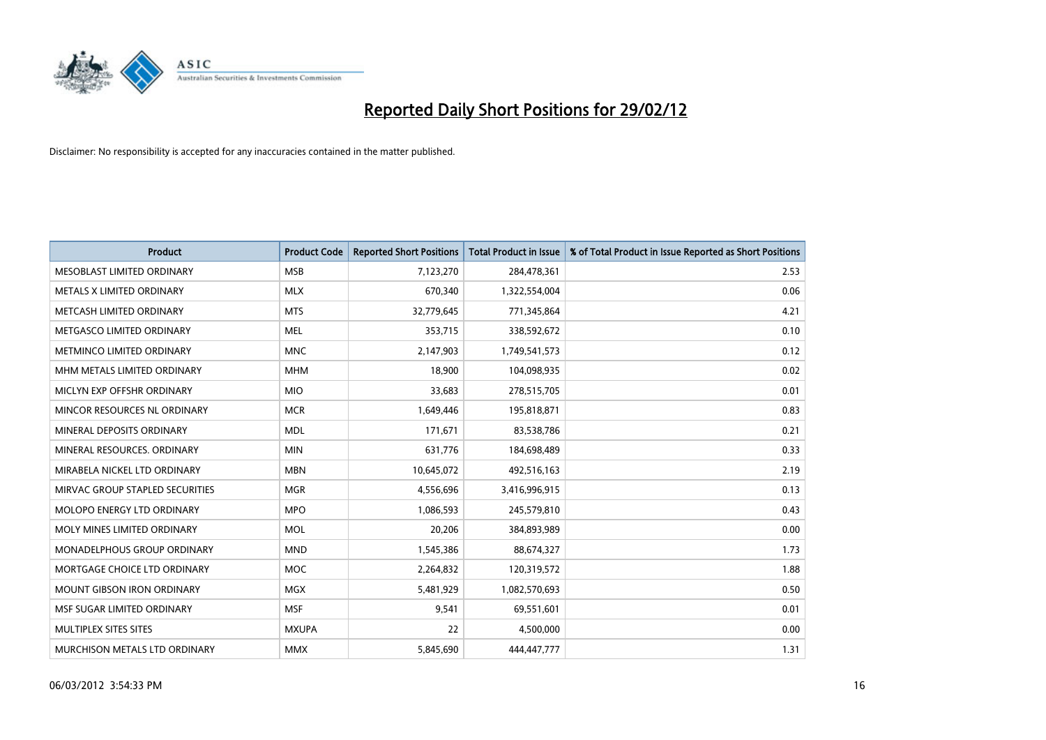

| <b>Product</b>                  | <b>Product Code</b> | <b>Reported Short Positions</b> | <b>Total Product in Issue</b> | % of Total Product in Issue Reported as Short Positions |
|---------------------------------|---------------------|---------------------------------|-------------------------------|---------------------------------------------------------|
| MESOBLAST LIMITED ORDINARY      | <b>MSB</b>          | 7,123,270                       | 284,478,361                   | 2.53                                                    |
| METALS X LIMITED ORDINARY       | <b>MLX</b>          | 670,340                         | 1,322,554,004                 | 0.06                                                    |
| METCASH LIMITED ORDINARY        | <b>MTS</b>          | 32,779,645                      | 771,345,864                   | 4.21                                                    |
| METGASCO LIMITED ORDINARY       | <b>MEL</b>          | 353,715                         | 338,592,672                   | 0.10                                                    |
| METMINCO LIMITED ORDINARY       | <b>MNC</b>          | 2,147,903                       | 1,749,541,573                 | 0.12                                                    |
| MHM METALS LIMITED ORDINARY     | <b>MHM</b>          | 18,900                          | 104,098,935                   | 0.02                                                    |
| MICLYN EXP OFFSHR ORDINARY      | <b>MIO</b>          | 33,683                          | 278,515,705                   | 0.01                                                    |
| MINCOR RESOURCES NL ORDINARY    | <b>MCR</b>          | 1,649,446                       | 195,818,871                   | 0.83                                                    |
| MINERAL DEPOSITS ORDINARY       | <b>MDL</b>          | 171,671                         | 83,538,786                    | 0.21                                                    |
| MINERAL RESOURCES, ORDINARY     | <b>MIN</b>          | 631,776                         | 184,698,489                   | 0.33                                                    |
| MIRABELA NICKEL LTD ORDINARY    | <b>MBN</b>          | 10,645,072                      | 492,516,163                   | 2.19                                                    |
| MIRVAC GROUP STAPLED SECURITIES | <b>MGR</b>          | 4,556,696                       | 3,416,996,915                 | 0.13                                                    |
| MOLOPO ENERGY LTD ORDINARY      | <b>MPO</b>          | 1,086,593                       | 245,579,810                   | 0.43                                                    |
| MOLY MINES LIMITED ORDINARY     | <b>MOL</b>          | 20,206                          | 384,893,989                   | 0.00                                                    |
| MONADELPHOUS GROUP ORDINARY     | <b>MND</b>          | 1,545,386                       | 88,674,327                    | 1.73                                                    |
| MORTGAGE CHOICE LTD ORDINARY    | <b>MOC</b>          | 2,264,832                       | 120,319,572                   | 1.88                                                    |
| MOUNT GIBSON IRON ORDINARY      | <b>MGX</b>          | 5,481,929                       | 1,082,570,693                 | 0.50                                                    |
| MSF SUGAR LIMITED ORDINARY      | <b>MSF</b>          | 9,541                           | 69,551,601                    | 0.01                                                    |
| MULTIPLEX SITES SITES           | <b>MXUPA</b>        | 22                              | 4,500,000                     | 0.00                                                    |
| MURCHISON METALS LTD ORDINARY   | <b>MMX</b>          | 5,845,690                       | 444,447,777                   | 1.31                                                    |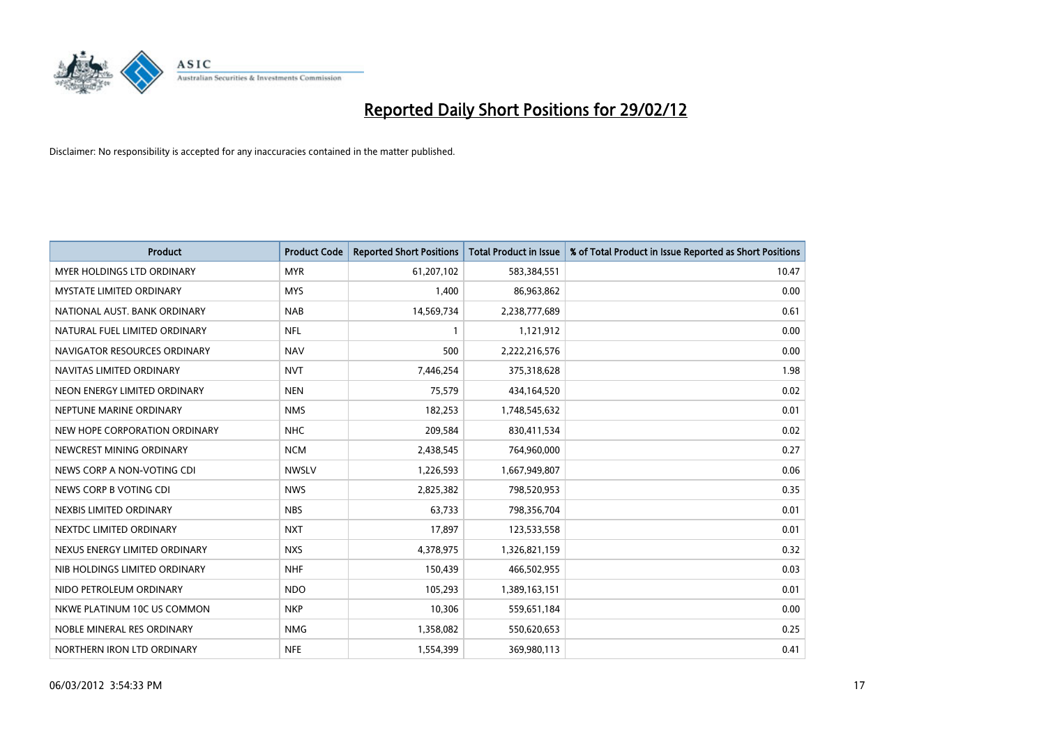

| <b>Product</b>                    | <b>Product Code</b> | <b>Reported Short Positions</b> | <b>Total Product in Issue</b> | % of Total Product in Issue Reported as Short Positions |
|-----------------------------------|---------------------|---------------------------------|-------------------------------|---------------------------------------------------------|
| <b>MYER HOLDINGS LTD ORDINARY</b> | <b>MYR</b>          | 61,207,102                      | 583,384,551                   | 10.47                                                   |
| <b>MYSTATE LIMITED ORDINARY</b>   | <b>MYS</b>          | 1,400                           | 86,963,862                    | 0.00                                                    |
| NATIONAL AUST. BANK ORDINARY      | <b>NAB</b>          | 14,569,734                      | 2,238,777,689                 | 0.61                                                    |
| NATURAL FUEL LIMITED ORDINARY     | <b>NFL</b>          | 1                               | 1,121,912                     | 0.00                                                    |
| NAVIGATOR RESOURCES ORDINARY      | <b>NAV</b>          | 500                             | 2,222,216,576                 | 0.00                                                    |
| NAVITAS LIMITED ORDINARY          | <b>NVT</b>          | 7,446,254                       | 375,318,628                   | 1.98                                                    |
| NEON ENERGY LIMITED ORDINARY      | <b>NEN</b>          | 75,579                          | 434,164,520                   | 0.02                                                    |
| NEPTUNE MARINE ORDINARY           | <b>NMS</b>          | 182,253                         | 1,748,545,632                 | 0.01                                                    |
| NEW HOPE CORPORATION ORDINARY     | <b>NHC</b>          | 209,584                         | 830,411,534                   | 0.02                                                    |
| NEWCREST MINING ORDINARY          | <b>NCM</b>          | 2,438,545                       | 764,960,000                   | 0.27                                                    |
| NEWS CORP A NON-VOTING CDI        | <b>NWSLV</b>        | 1,226,593                       | 1,667,949,807                 | 0.06                                                    |
| NEWS CORP B VOTING CDI            | <b>NWS</b>          | 2,825,382                       | 798,520,953                   | 0.35                                                    |
| NEXBIS LIMITED ORDINARY           | <b>NBS</b>          | 63,733                          | 798,356,704                   | 0.01                                                    |
| NEXTDC LIMITED ORDINARY           | <b>NXT</b>          | 17,897                          | 123,533,558                   | 0.01                                                    |
| NEXUS ENERGY LIMITED ORDINARY     | <b>NXS</b>          | 4,378,975                       | 1,326,821,159                 | 0.32                                                    |
| NIB HOLDINGS LIMITED ORDINARY     | <b>NHF</b>          | 150,439                         | 466,502,955                   | 0.03                                                    |
| NIDO PETROLEUM ORDINARY           | <b>NDO</b>          | 105,293                         | 1,389,163,151                 | 0.01                                                    |
| NKWE PLATINUM 10C US COMMON       | <b>NKP</b>          | 10,306                          | 559,651,184                   | 0.00                                                    |
| NOBLE MINERAL RES ORDINARY        | <b>NMG</b>          | 1,358,082                       | 550,620,653                   | 0.25                                                    |
| NORTHERN IRON LTD ORDINARY        | <b>NFE</b>          | 1,554,399                       | 369,980,113                   | 0.41                                                    |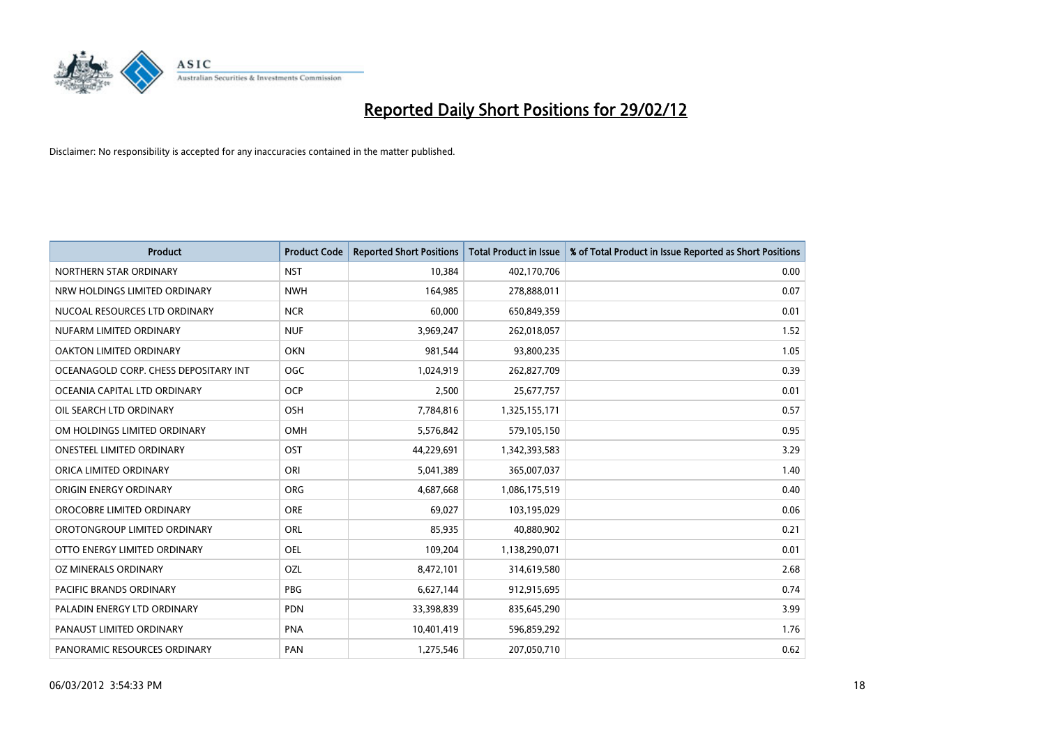

| <b>Product</b>                        | <b>Product Code</b> | <b>Reported Short Positions</b> | <b>Total Product in Issue</b> | % of Total Product in Issue Reported as Short Positions |
|---------------------------------------|---------------------|---------------------------------|-------------------------------|---------------------------------------------------------|
| NORTHERN STAR ORDINARY                | <b>NST</b>          | 10,384                          | 402,170,706                   | 0.00                                                    |
| NRW HOLDINGS LIMITED ORDINARY         | <b>NWH</b>          | 164,985                         | 278,888,011                   | 0.07                                                    |
| NUCOAL RESOURCES LTD ORDINARY         | <b>NCR</b>          | 60,000                          | 650,849,359                   | 0.01                                                    |
| NUFARM LIMITED ORDINARY               | <b>NUF</b>          | 3,969,247                       | 262,018,057                   | 1.52                                                    |
| <b>OAKTON LIMITED ORDINARY</b>        | <b>OKN</b>          | 981,544                         | 93,800,235                    | 1.05                                                    |
| OCEANAGOLD CORP. CHESS DEPOSITARY INT | <b>OGC</b>          | 1,024,919                       | 262,827,709                   | 0.39                                                    |
| OCEANIA CAPITAL LTD ORDINARY          | <b>OCP</b>          | 2,500                           | 25,677,757                    | 0.01                                                    |
| OIL SEARCH LTD ORDINARY               | OSH                 | 7,784,816                       | 1,325,155,171                 | 0.57                                                    |
| OM HOLDINGS LIMITED ORDINARY          | OMH                 | 5,576,842                       | 579,105,150                   | 0.95                                                    |
| <b>ONESTEEL LIMITED ORDINARY</b>      | OST                 | 44,229,691                      | 1,342,393,583                 | 3.29                                                    |
| ORICA LIMITED ORDINARY                | ORI                 | 5,041,389                       | 365,007,037                   | 1.40                                                    |
| ORIGIN ENERGY ORDINARY                | ORG                 | 4,687,668                       | 1,086,175,519                 | 0.40                                                    |
| OROCOBRE LIMITED ORDINARY             | <b>ORE</b>          | 69,027                          | 103,195,029                   | 0.06                                                    |
| OROTONGROUP LIMITED ORDINARY          | ORL                 | 85,935                          | 40,880,902                    | 0.21                                                    |
| OTTO ENERGY LIMITED ORDINARY          | <b>OEL</b>          | 109,204                         | 1,138,290,071                 | 0.01                                                    |
| OZ MINERALS ORDINARY                  | OZL                 | 8,472,101                       | 314,619,580                   | 2.68                                                    |
| PACIFIC BRANDS ORDINARY               | PBG                 | 6,627,144                       | 912,915,695                   | 0.74                                                    |
| PALADIN ENERGY LTD ORDINARY           | <b>PDN</b>          | 33,398,839                      | 835,645,290                   | 3.99                                                    |
| PANAUST LIMITED ORDINARY              | <b>PNA</b>          | 10,401,419                      | 596,859,292                   | 1.76                                                    |
| PANORAMIC RESOURCES ORDINARY          | PAN                 | 1,275,546                       | 207,050,710                   | 0.62                                                    |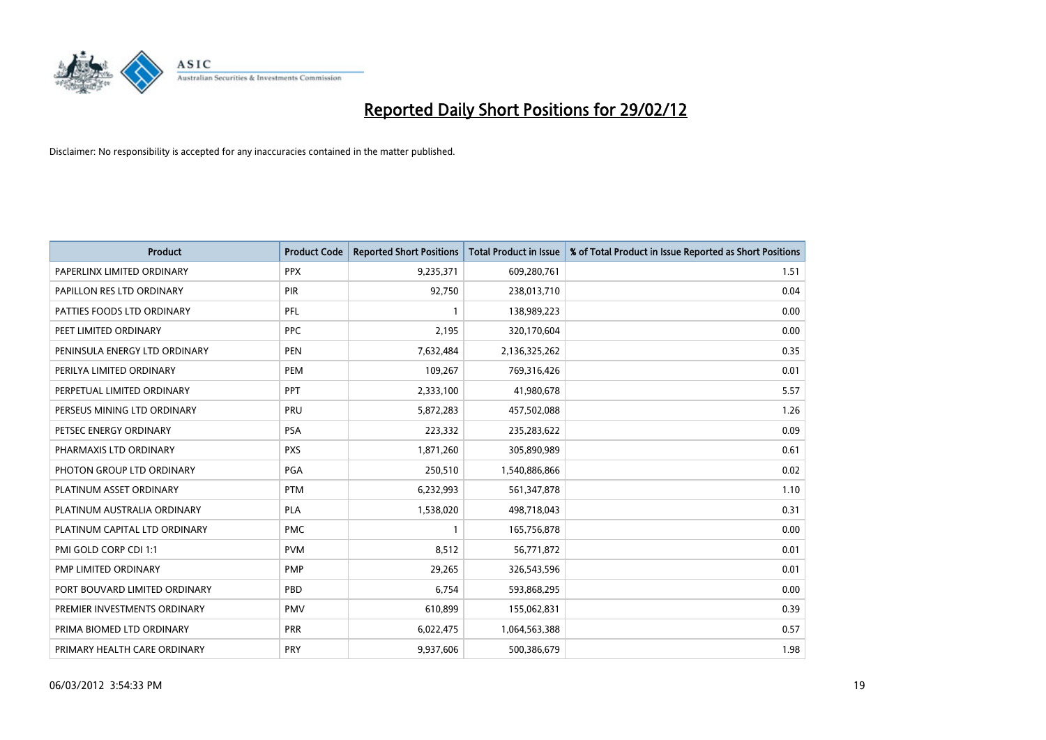

| <b>Product</b>                | <b>Product Code</b> | <b>Reported Short Positions</b> | <b>Total Product in Issue</b> | % of Total Product in Issue Reported as Short Positions |
|-------------------------------|---------------------|---------------------------------|-------------------------------|---------------------------------------------------------|
| PAPERLINX LIMITED ORDINARY    | <b>PPX</b>          | 9,235,371                       | 609,280,761                   | 1.51                                                    |
| PAPILLON RES LTD ORDINARY     | <b>PIR</b>          | 92,750                          | 238,013,710                   | 0.04                                                    |
| PATTIES FOODS LTD ORDINARY    | PFL                 | $\mathbf{1}$                    | 138,989,223                   | 0.00                                                    |
| PEET LIMITED ORDINARY         | <b>PPC</b>          | 2,195                           | 320,170,604                   | 0.00                                                    |
| PENINSULA ENERGY LTD ORDINARY | <b>PEN</b>          | 7,632,484                       | 2,136,325,262                 | 0.35                                                    |
| PERILYA LIMITED ORDINARY      | PEM                 | 109,267                         | 769,316,426                   | 0.01                                                    |
| PERPETUAL LIMITED ORDINARY    | <b>PPT</b>          | 2,333,100                       | 41,980,678                    | 5.57                                                    |
| PERSEUS MINING LTD ORDINARY   | PRU                 | 5,872,283                       | 457,502,088                   | 1.26                                                    |
| PETSEC ENERGY ORDINARY        | <b>PSA</b>          | 223,332                         | 235,283,622                   | 0.09                                                    |
| PHARMAXIS LTD ORDINARY        | <b>PXS</b>          | 1,871,260                       | 305,890,989                   | 0.61                                                    |
| PHOTON GROUP LTD ORDINARY     | PGA                 | 250,510                         | 1,540,886,866                 | 0.02                                                    |
| PLATINUM ASSET ORDINARY       | <b>PTM</b>          | 6,232,993                       | 561,347,878                   | 1.10                                                    |
| PLATINUM AUSTRALIA ORDINARY   | <b>PLA</b>          | 1,538,020                       | 498,718,043                   | 0.31                                                    |
| PLATINUM CAPITAL LTD ORDINARY | <b>PMC</b>          | $\mathbf{1}$                    | 165,756,878                   | 0.00                                                    |
| PMI GOLD CORP CDI 1:1         | <b>PVM</b>          | 8,512                           | 56,771,872                    | 0.01                                                    |
| PMP LIMITED ORDINARY          | <b>PMP</b>          | 29,265                          | 326,543,596                   | 0.01                                                    |
| PORT BOUVARD LIMITED ORDINARY | PBD                 | 6,754                           | 593,868,295                   | 0.00                                                    |
| PREMIER INVESTMENTS ORDINARY  | <b>PMV</b>          | 610,899                         | 155,062,831                   | 0.39                                                    |
| PRIMA BIOMED LTD ORDINARY     | <b>PRR</b>          | 6,022,475                       | 1,064,563,388                 | 0.57                                                    |
| PRIMARY HEALTH CARE ORDINARY  | <b>PRY</b>          | 9,937,606                       | 500,386,679                   | 1.98                                                    |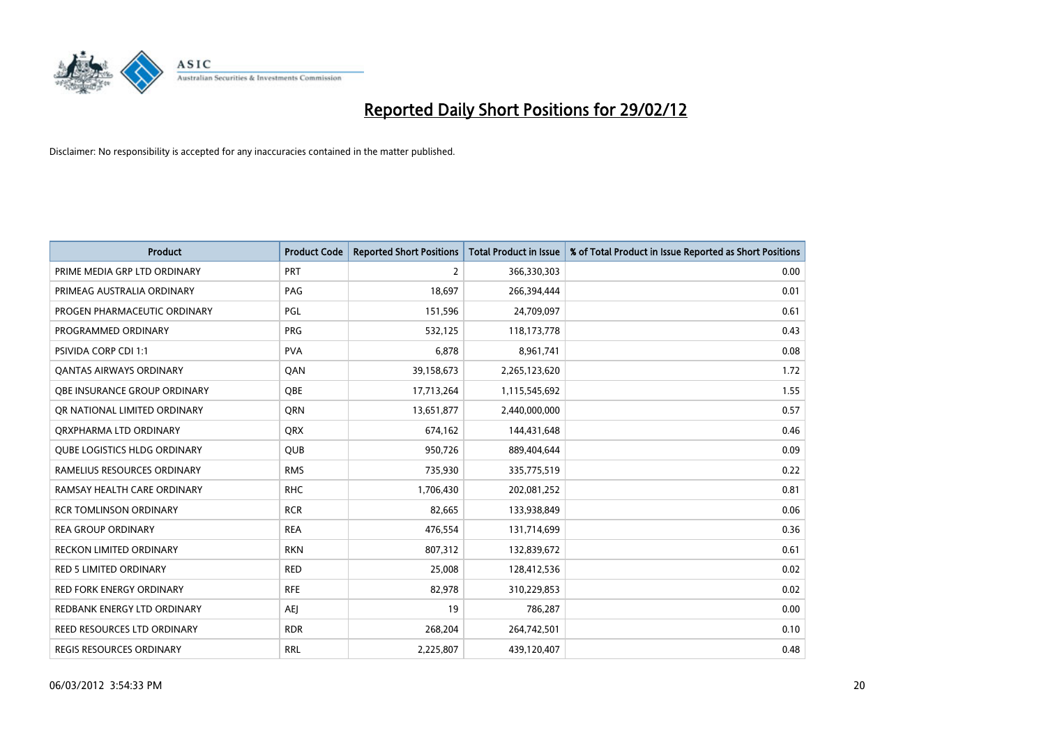

| <b>Product</b>                      | <b>Product Code</b> | <b>Reported Short Positions</b> | <b>Total Product in Issue</b> | % of Total Product in Issue Reported as Short Positions |
|-------------------------------------|---------------------|---------------------------------|-------------------------------|---------------------------------------------------------|
| PRIME MEDIA GRP LTD ORDINARY        | <b>PRT</b>          | 2                               | 366,330,303                   | 0.00                                                    |
| PRIMEAG AUSTRALIA ORDINARY          | PAG                 | 18,697                          | 266,394,444                   | 0.01                                                    |
| PROGEN PHARMACEUTIC ORDINARY        | PGL                 | 151,596                         | 24,709,097                    | 0.61                                                    |
| PROGRAMMED ORDINARY                 | <b>PRG</b>          | 532,125                         | 118,173,778                   | 0.43                                                    |
| PSIVIDA CORP CDI 1:1                | <b>PVA</b>          | 6,878                           | 8,961,741                     | 0.08                                                    |
| <b>QANTAS AIRWAYS ORDINARY</b>      | QAN                 | 39,158,673                      | 2,265,123,620                 | 1.72                                                    |
| OBE INSURANCE GROUP ORDINARY        | <b>OBE</b>          | 17,713,264                      | 1,115,545,692                 | 1.55                                                    |
| OR NATIONAL LIMITED ORDINARY        | <b>ORN</b>          | 13,651,877                      | 2,440,000,000                 | 0.57                                                    |
| ORXPHARMA LTD ORDINARY              | <b>QRX</b>          | 674,162                         | 144,431,648                   | 0.46                                                    |
| <b>QUBE LOGISTICS HLDG ORDINARY</b> | QUB                 | 950,726                         | 889,404,644                   | 0.09                                                    |
| RAMELIUS RESOURCES ORDINARY         | <b>RMS</b>          | 735,930                         | 335,775,519                   | 0.22                                                    |
| RAMSAY HEALTH CARE ORDINARY         | <b>RHC</b>          | 1,706,430                       | 202,081,252                   | 0.81                                                    |
| <b>RCR TOMLINSON ORDINARY</b>       | <b>RCR</b>          | 82,665                          | 133,938,849                   | 0.06                                                    |
| <b>REA GROUP ORDINARY</b>           | <b>REA</b>          | 476,554                         | 131,714,699                   | 0.36                                                    |
| <b>RECKON LIMITED ORDINARY</b>      | <b>RKN</b>          | 807,312                         | 132,839,672                   | 0.61                                                    |
| RED 5 LIMITED ORDINARY              | <b>RED</b>          | 25,008                          | 128,412,536                   | 0.02                                                    |
| RED FORK ENERGY ORDINARY            | <b>RFE</b>          | 82,978                          | 310,229,853                   | 0.02                                                    |
| REDBANK ENERGY LTD ORDINARY         | AEJ                 | 19                              | 786,287                       | 0.00                                                    |
| <b>REED RESOURCES LTD ORDINARY</b>  | <b>RDR</b>          | 268,204                         | 264,742,501                   | 0.10                                                    |
| <b>REGIS RESOURCES ORDINARY</b>     | <b>RRL</b>          | 2,225,807                       | 439,120,407                   | 0.48                                                    |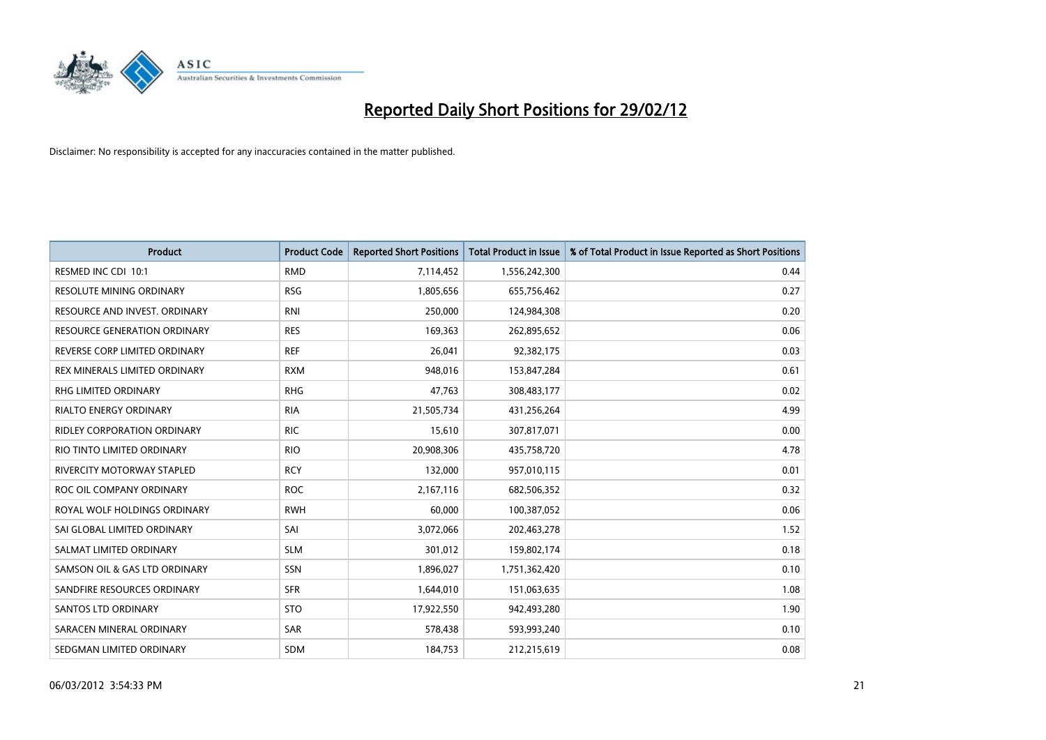

| <b>Product</b>                     | <b>Product Code</b> | <b>Reported Short Positions</b> | <b>Total Product in Issue</b> | % of Total Product in Issue Reported as Short Positions |
|------------------------------------|---------------------|---------------------------------|-------------------------------|---------------------------------------------------------|
| RESMED INC CDI 10:1                | <b>RMD</b>          | 7,114,452                       | 1,556,242,300                 | 0.44                                                    |
| RESOLUTE MINING ORDINARY           | <b>RSG</b>          | 1,805,656                       | 655,756,462                   | 0.27                                                    |
| RESOURCE AND INVEST. ORDINARY      | <b>RNI</b>          | 250,000                         | 124,984,308                   | 0.20                                                    |
| RESOURCE GENERATION ORDINARY       | <b>RES</b>          | 169,363                         | 262,895,652                   | 0.06                                                    |
| REVERSE CORP LIMITED ORDINARY      | <b>REF</b>          | 26,041                          | 92,382,175                    | 0.03                                                    |
| REX MINERALS LIMITED ORDINARY      | <b>RXM</b>          | 948,016                         | 153,847,284                   | 0.61                                                    |
| RHG LIMITED ORDINARY               | <b>RHG</b>          | 47,763                          | 308,483,177                   | 0.02                                                    |
| RIALTO ENERGY ORDINARY             | <b>RIA</b>          | 21,505,734                      | 431,256,264                   | 4.99                                                    |
| <b>RIDLEY CORPORATION ORDINARY</b> | <b>RIC</b>          | 15,610                          | 307,817,071                   | 0.00                                                    |
| RIO TINTO LIMITED ORDINARY         | <b>RIO</b>          | 20,908,306                      | 435,758,720                   | 4.78                                                    |
| RIVERCITY MOTORWAY STAPLED         | <b>RCY</b>          | 132,000                         | 957,010,115                   | 0.01                                                    |
| ROC OIL COMPANY ORDINARY           | <b>ROC</b>          | 2,167,116                       | 682,506,352                   | 0.32                                                    |
| ROYAL WOLF HOLDINGS ORDINARY       | <b>RWH</b>          | 60,000                          | 100,387,052                   | 0.06                                                    |
| SAI GLOBAL LIMITED ORDINARY        | SAI                 | 3,072,066                       | 202,463,278                   | 1.52                                                    |
| SALMAT LIMITED ORDINARY            | <b>SLM</b>          | 301,012                         | 159,802,174                   | 0.18                                                    |
| SAMSON OIL & GAS LTD ORDINARY      | SSN                 | 1,896,027                       | 1,751,362,420                 | 0.10                                                    |
| SANDFIRE RESOURCES ORDINARY        | <b>SFR</b>          | 1,644,010                       | 151,063,635                   | 1.08                                                    |
| SANTOS LTD ORDINARY                | <b>STO</b>          | 17,922,550                      | 942,493,280                   | 1.90                                                    |
| SARACEN MINERAL ORDINARY           | SAR                 | 578,438                         | 593,993,240                   | 0.10                                                    |
| SEDGMAN LIMITED ORDINARY           | <b>SDM</b>          | 184,753                         | 212,215,619                   | 0.08                                                    |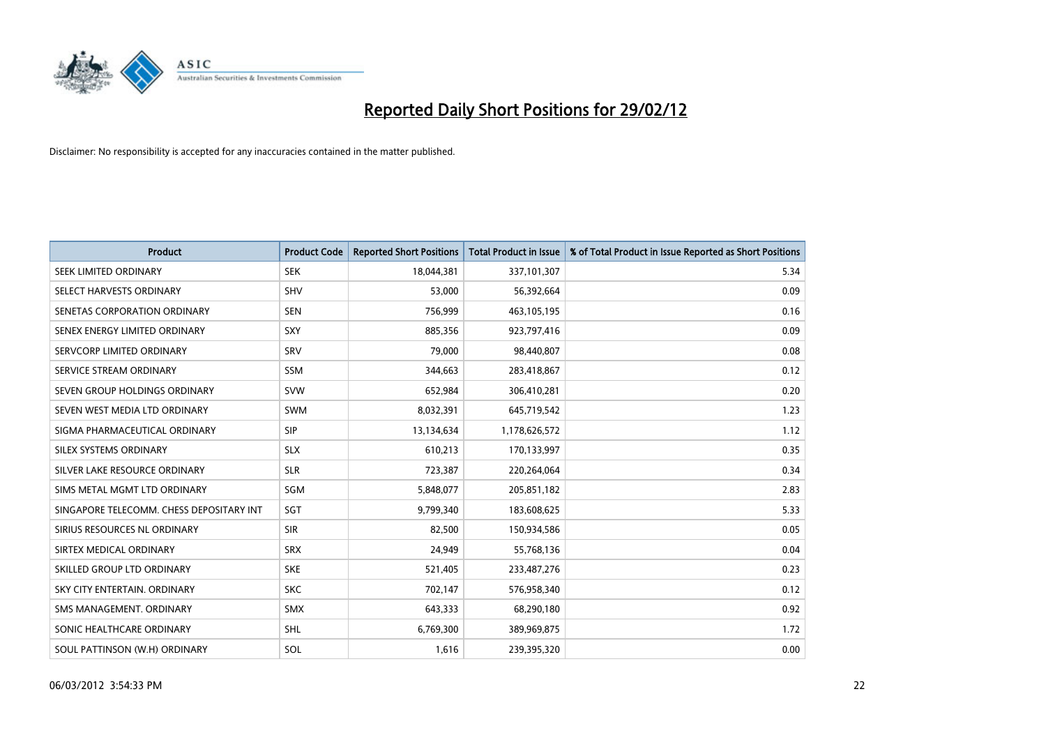

| <b>Product</b>                           | <b>Product Code</b> | <b>Reported Short Positions</b> | <b>Total Product in Issue</b> | % of Total Product in Issue Reported as Short Positions |
|------------------------------------------|---------------------|---------------------------------|-------------------------------|---------------------------------------------------------|
| SEEK LIMITED ORDINARY                    | <b>SEK</b>          | 18,044,381                      | 337,101,307                   | 5.34                                                    |
| SELECT HARVESTS ORDINARY                 | <b>SHV</b>          | 53,000                          | 56,392,664                    | 0.09                                                    |
| SENETAS CORPORATION ORDINARY             | <b>SEN</b>          | 756,999                         | 463,105,195                   | 0.16                                                    |
| SENEX ENERGY LIMITED ORDINARY            | SXY                 | 885,356                         | 923,797,416                   | 0.09                                                    |
| SERVCORP LIMITED ORDINARY                | SRV                 | 79,000                          | 98,440,807                    | 0.08                                                    |
| SERVICE STREAM ORDINARY                  | SSM                 | 344,663                         | 283,418,867                   | 0.12                                                    |
| SEVEN GROUP HOLDINGS ORDINARY            | <b>SVW</b>          | 652,984                         | 306,410,281                   | 0.20                                                    |
| SEVEN WEST MEDIA LTD ORDINARY            | SWM                 | 8,032,391                       | 645,719,542                   | 1.23                                                    |
| SIGMA PHARMACEUTICAL ORDINARY            | <b>SIP</b>          | 13,134,634                      | 1,178,626,572                 | 1.12                                                    |
| SILEX SYSTEMS ORDINARY                   | <b>SLX</b>          | 610,213                         | 170,133,997                   | 0.35                                                    |
| SILVER LAKE RESOURCE ORDINARY            | <b>SLR</b>          | 723,387                         | 220,264,064                   | 0.34                                                    |
| SIMS METAL MGMT LTD ORDINARY             | SGM                 | 5,848,077                       | 205,851,182                   | 2.83                                                    |
| SINGAPORE TELECOMM. CHESS DEPOSITARY INT | SGT                 | 9,799,340                       | 183,608,625                   | 5.33                                                    |
| SIRIUS RESOURCES NL ORDINARY             | <b>SIR</b>          | 82,500                          | 150,934,586                   | 0.05                                                    |
| SIRTEX MEDICAL ORDINARY                  | <b>SRX</b>          | 24,949                          | 55,768,136                    | 0.04                                                    |
| SKILLED GROUP LTD ORDINARY               | <b>SKE</b>          | 521,405                         | 233,487,276                   | 0.23                                                    |
| SKY CITY ENTERTAIN. ORDINARY             | <b>SKC</b>          | 702,147                         | 576,958,340                   | 0.12                                                    |
| SMS MANAGEMENT. ORDINARY                 | <b>SMX</b>          | 643,333                         | 68,290,180                    | 0.92                                                    |
| SONIC HEALTHCARE ORDINARY                | SHL                 | 6,769,300                       | 389,969,875                   | 1.72                                                    |
| SOUL PATTINSON (W.H) ORDINARY            | SOL                 | 1,616                           | 239,395,320                   | 0.00                                                    |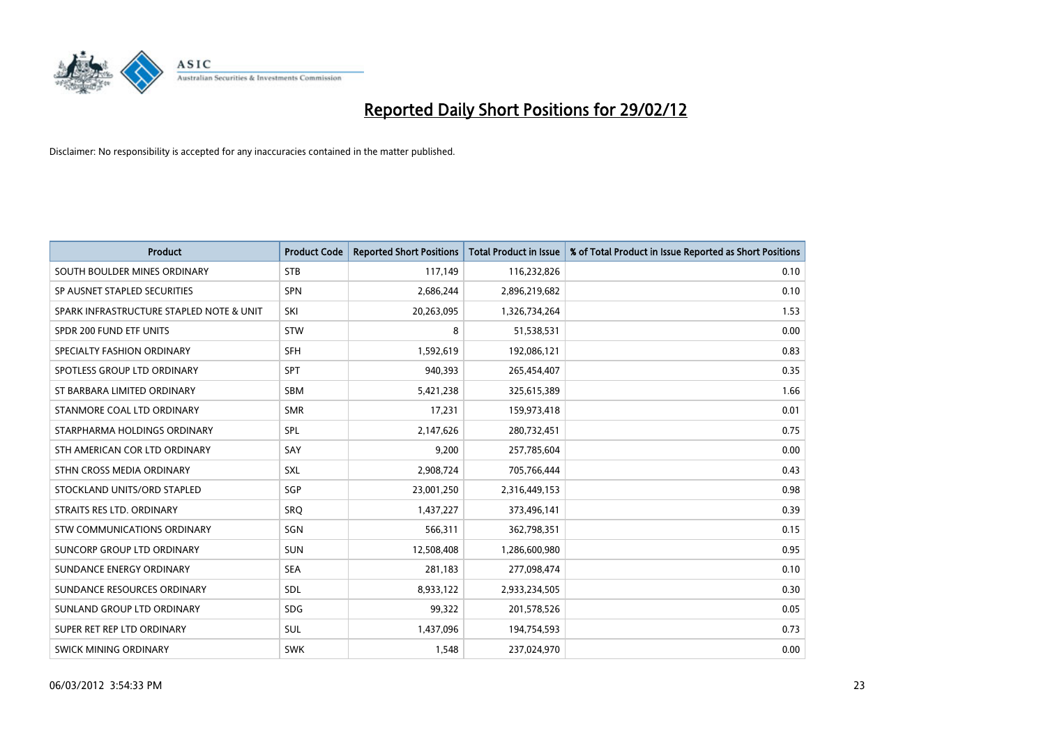

| <b>Product</b>                           | <b>Product Code</b> | <b>Reported Short Positions</b> | <b>Total Product in Issue</b> | % of Total Product in Issue Reported as Short Positions |
|------------------------------------------|---------------------|---------------------------------|-------------------------------|---------------------------------------------------------|
| SOUTH BOULDER MINES ORDINARY             | <b>STB</b>          | 117,149                         | 116,232,826                   | 0.10                                                    |
| SP AUSNET STAPLED SECURITIES             | <b>SPN</b>          | 2,686,244                       | 2,896,219,682                 | 0.10                                                    |
| SPARK INFRASTRUCTURE STAPLED NOTE & UNIT | SKI                 | 20,263,095                      | 1,326,734,264                 | 1.53                                                    |
| SPDR 200 FUND ETF UNITS                  | <b>STW</b>          | 8                               | 51,538,531                    | 0.00                                                    |
| SPECIALTY FASHION ORDINARY               | <b>SFH</b>          | 1,592,619                       | 192,086,121                   | 0.83                                                    |
| SPOTLESS GROUP LTD ORDINARY              | <b>SPT</b>          | 940,393                         | 265,454,407                   | 0.35                                                    |
| ST BARBARA LIMITED ORDINARY              | <b>SBM</b>          | 5,421,238                       | 325,615,389                   | 1.66                                                    |
| STANMORE COAL LTD ORDINARY               | <b>SMR</b>          | 17,231                          | 159,973,418                   | 0.01                                                    |
| STARPHARMA HOLDINGS ORDINARY             | SPL                 | 2,147,626                       | 280,732,451                   | 0.75                                                    |
| STH AMERICAN COR LTD ORDINARY            | SAY                 | 9,200                           | 257,785,604                   | 0.00                                                    |
| STHN CROSS MEDIA ORDINARY                | <b>SXL</b>          | 2,908,724                       | 705,766,444                   | 0.43                                                    |
| STOCKLAND UNITS/ORD STAPLED              | SGP                 | 23,001,250                      | 2,316,449,153                 | 0.98                                                    |
| STRAITS RES LTD. ORDINARY                | SRQ                 | 1,437,227                       | 373,496,141                   | 0.39                                                    |
| STW COMMUNICATIONS ORDINARY              | SGN                 | 566,311                         | 362,798,351                   | 0.15                                                    |
| SUNCORP GROUP LTD ORDINARY               | <b>SUN</b>          | 12,508,408                      | 1,286,600,980                 | 0.95                                                    |
| SUNDANCE ENERGY ORDINARY                 | <b>SEA</b>          | 281,183                         | 277,098,474                   | 0.10                                                    |
| SUNDANCE RESOURCES ORDINARY              | <b>SDL</b>          | 8,933,122                       | 2,933,234,505                 | 0.30                                                    |
| SUNLAND GROUP LTD ORDINARY               | <b>SDG</b>          | 99,322                          | 201,578,526                   | 0.05                                                    |
| SUPER RET REP LTD ORDINARY               | <b>SUL</b>          | 1,437,096                       | 194,754,593                   | 0.73                                                    |
| <b>SWICK MINING ORDINARY</b>             | <b>SWK</b>          | 1,548                           | 237,024,970                   | 0.00                                                    |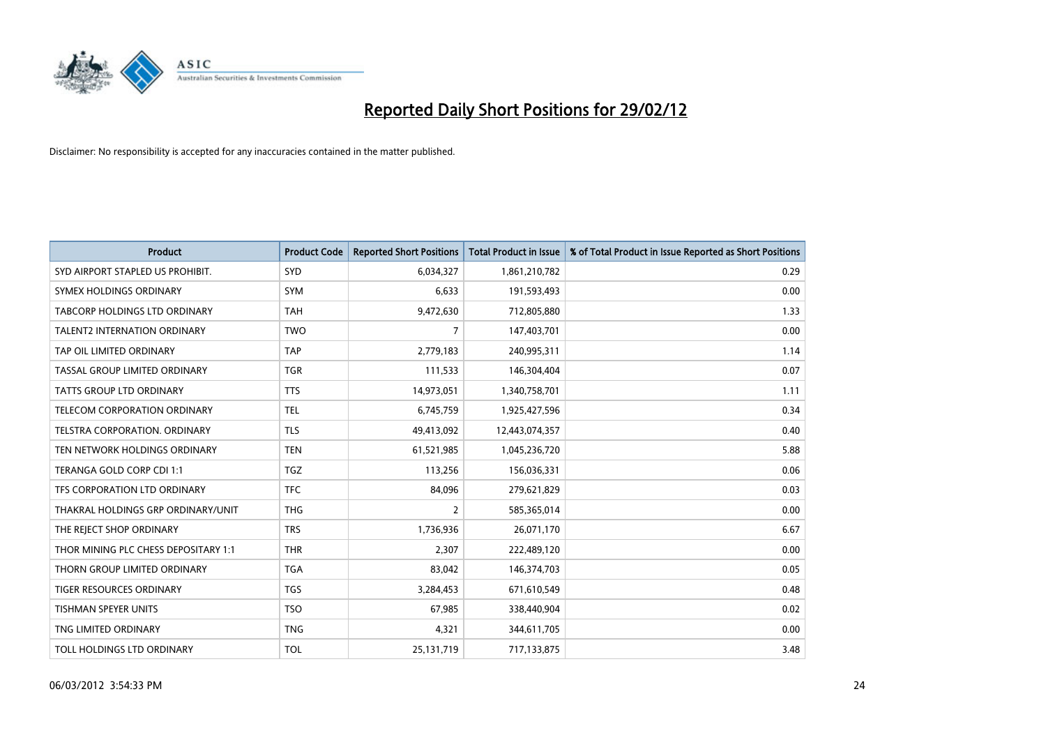

| <b>Product</b>                       | <b>Product Code</b> | <b>Reported Short Positions</b> | <b>Total Product in Issue</b> | % of Total Product in Issue Reported as Short Positions |
|--------------------------------------|---------------------|---------------------------------|-------------------------------|---------------------------------------------------------|
| SYD AIRPORT STAPLED US PROHIBIT.     | SYD                 | 6,034,327                       | 1,861,210,782                 | 0.29                                                    |
| SYMEX HOLDINGS ORDINARY              | <b>SYM</b>          | 6,633                           | 191,593,493                   | 0.00                                                    |
| <b>TABCORP HOLDINGS LTD ORDINARY</b> | <b>TAH</b>          | 9,472,630                       | 712,805,880                   | 1.33                                                    |
| <b>TALENT2 INTERNATION ORDINARY</b>  | <b>TWO</b>          | 7                               | 147,403,701                   | 0.00                                                    |
| TAP OIL LIMITED ORDINARY             | <b>TAP</b>          | 2,779,183                       | 240,995,311                   | 1.14                                                    |
| TASSAL GROUP LIMITED ORDINARY        | <b>TGR</b>          | 111,533                         | 146,304,404                   | 0.07                                                    |
| <b>TATTS GROUP LTD ORDINARY</b>      | <b>TTS</b>          | 14,973,051                      | 1,340,758,701                 | 1.11                                                    |
| TELECOM CORPORATION ORDINARY         | <b>TEL</b>          | 6,745,759                       | 1,925,427,596                 | 0.34                                                    |
| TELSTRA CORPORATION, ORDINARY        | <b>TLS</b>          | 49,413,092                      | 12,443,074,357                | 0.40                                                    |
| TEN NETWORK HOLDINGS ORDINARY        | <b>TEN</b>          | 61,521,985                      | 1,045,236,720                 | 5.88                                                    |
| TERANGA GOLD CORP CDI 1:1            | <b>TGZ</b>          | 113,256                         | 156,036,331                   | 0.06                                                    |
| TFS CORPORATION LTD ORDINARY         | <b>TFC</b>          | 84,096                          | 279,621,829                   | 0.03                                                    |
| THAKRAL HOLDINGS GRP ORDINARY/UNIT   | <b>THG</b>          | $\overline{2}$                  | 585,365,014                   | 0.00                                                    |
| THE REJECT SHOP ORDINARY             | <b>TRS</b>          | 1,736,936                       | 26,071,170                    | 6.67                                                    |
| THOR MINING PLC CHESS DEPOSITARY 1:1 | <b>THR</b>          | 2,307                           | 222,489,120                   | 0.00                                                    |
| THORN GROUP LIMITED ORDINARY         | <b>TGA</b>          | 83,042                          | 146,374,703                   | 0.05                                                    |
| TIGER RESOURCES ORDINARY             | TGS                 | 3,284,453                       | 671,610,549                   | 0.48                                                    |
| TISHMAN SPEYER UNITS                 | <b>TSO</b>          | 67,985                          | 338,440,904                   | 0.02                                                    |
| TNG LIMITED ORDINARY                 | <b>TNG</b>          | 4,321                           | 344,611,705                   | 0.00                                                    |
| TOLL HOLDINGS LTD ORDINARY           | <b>TOL</b>          | 25,131,719                      | 717,133,875                   | 3.48                                                    |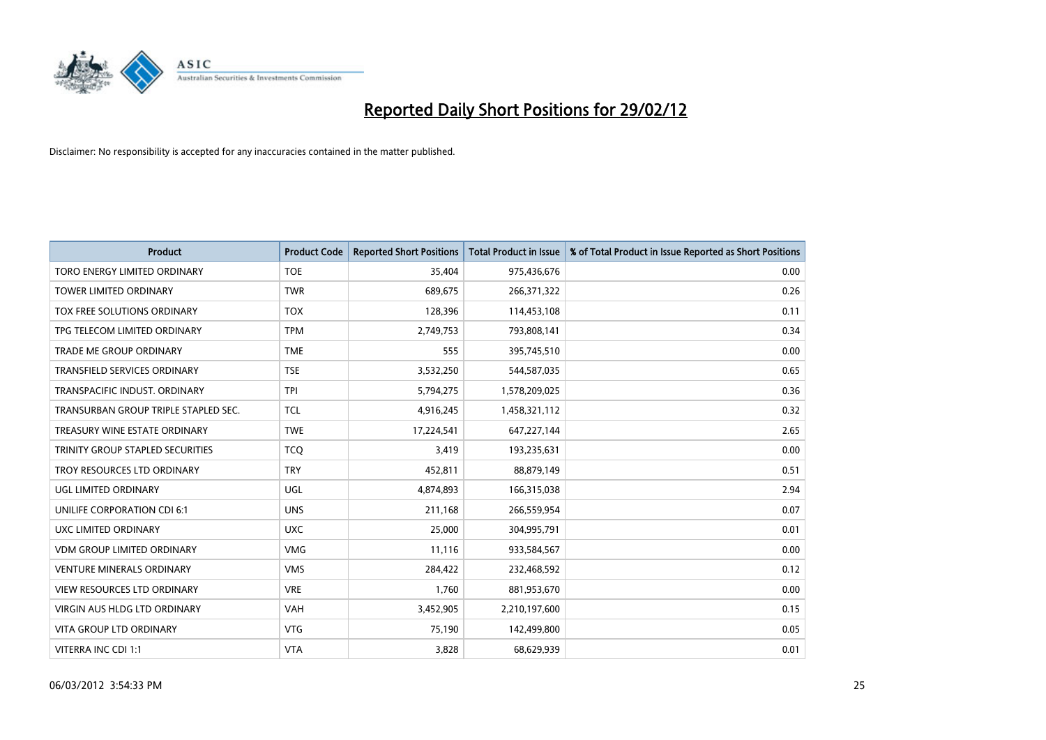

| <b>Product</b>                       | <b>Product Code</b> | <b>Reported Short Positions</b> | <b>Total Product in Issue</b> | % of Total Product in Issue Reported as Short Positions |
|--------------------------------------|---------------------|---------------------------------|-------------------------------|---------------------------------------------------------|
| TORO ENERGY LIMITED ORDINARY         | <b>TOE</b>          | 35,404                          | 975,436,676                   | 0.00                                                    |
| TOWER LIMITED ORDINARY               | <b>TWR</b>          | 689,675                         | 266,371,322                   | 0.26                                                    |
| TOX FREE SOLUTIONS ORDINARY          | <b>TOX</b>          | 128,396                         | 114,453,108                   | 0.11                                                    |
| TPG TELECOM LIMITED ORDINARY         | <b>TPM</b>          | 2,749,753                       | 793,808,141                   | 0.34                                                    |
| <b>TRADE ME GROUP ORDINARY</b>       | <b>TME</b>          | 555                             | 395,745,510                   | 0.00                                                    |
| <b>TRANSFIELD SERVICES ORDINARY</b>  | <b>TSE</b>          | 3,532,250                       | 544,587,035                   | 0.65                                                    |
| TRANSPACIFIC INDUST, ORDINARY        | <b>TPI</b>          | 5,794,275                       | 1,578,209,025                 | 0.36                                                    |
| TRANSURBAN GROUP TRIPLE STAPLED SEC. | <b>TCL</b>          | 4,916,245                       | 1,458,321,112                 | 0.32                                                    |
| TREASURY WINE ESTATE ORDINARY        | <b>TWE</b>          | 17,224,541                      | 647,227,144                   | 2.65                                                    |
| TRINITY GROUP STAPLED SECURITIES     | <b>TCO</b>          | 3,419                           | 193,235,631                   | 0.00                                                    |
| TROY RESOURCES LTD ORDINARY          | <b>TRY</b>          | 452,811                         | 88,879,149                    | 0.51                                                    |
| UGL LIMITED ORDINARY                 | UGL                 | 4,874,893                       | 166,315,038                   | 2.94                                                    |
| UNILIFE CORPORATION CDI 6:1          | <b>UNS</b>          | 211,168                         | 266,559,954                   | 0.07                                                    |
| UXC LIMITED ORDINARY                 | <b>UXC</b>          | 25,000                          | 304,995,791                   | 0.01                                                    |
| <b>VDM GROUP LIMITED ORDINARY</b>    | <b>VMG</b>          | 11,116                          | 933,584,567                   | 0.00                                                    |
| <b>VENTURE MINERALS ORDINARY</b>     | <b>VMS</b>          | 284,422                         | 232,468,592                   | 0.12                                                    |
| VIEW RESOURCES LTD ORDINARY          | <b>VRE</b>          | 1,760                           | 881,953,670                   | 0.00                                                    |
| <b>VIRGIN AUS HLDG LTD ORDINARY</b>  | <b>VAH</b>          | 3,452,905                       | 2,210,197,600                 | 0.15                                                    |
| <b>VITA GROUP LTD ORDINARY</b>       | <b>VTG</b>          | 75,190                          | 142,499,800                   | 0.05                                                    |
| VITERRA INC CDI 1:1                  | <b>VTA</b>          | 3,828                           | 68,629,939                    | 0.01                                                    |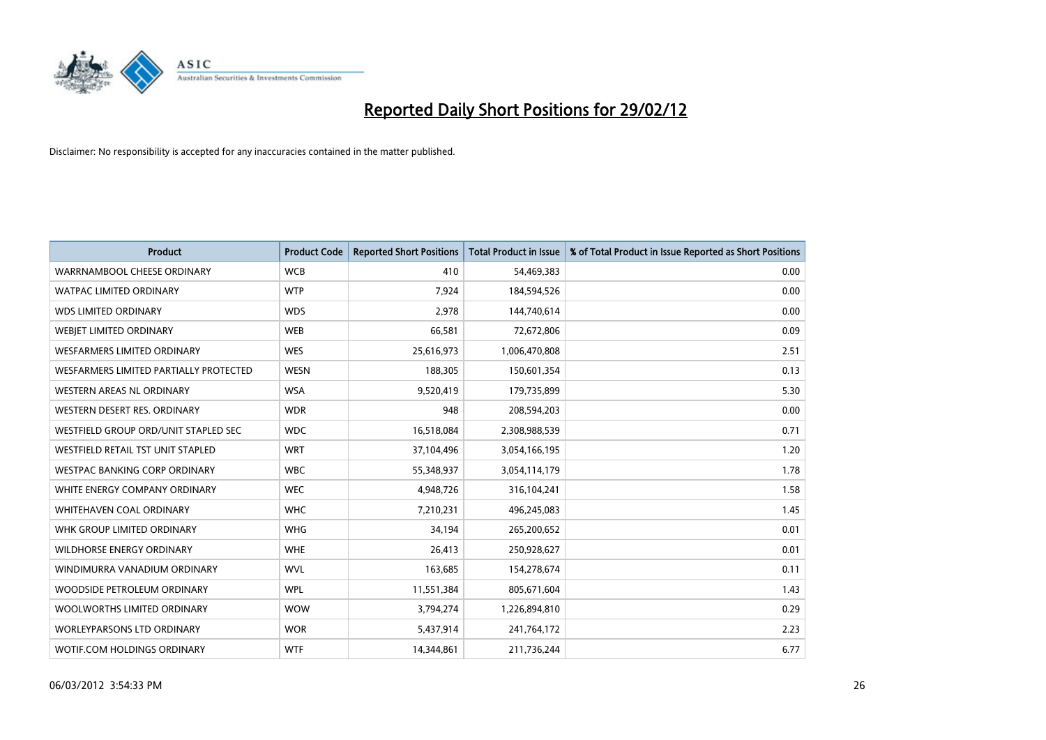

| <b>Product</b>                         | <b>Product Code</b> | <b>Reported Short Positions</b> | <b>Total Product in Issue</b> | % of Total Product in Issue Reported as Short Positions |
|----------------------------------------|---------------------|---------------------------------|-------------------------------|---------------------------------------------------------|
| WARRNAMBOOL CHEESE ORDINARY            | <b>WCB</b>          | 410                             | 54,469,383                    | 0.00                                                    |
| <b>WATPAC LIMITED ORDINARY</b>         | <b>WTP</b>          | 7,924                           | 184,594,526                   | 0.00                                                    |
| <b>WDS LIMITED ORDINARY</b>            | <b>WDS</b>          | 2,978                           | 144,740,614                   | 0.00                                                    |
| WEBIET LIMITED ORDINARY                | <b>WEB</b>          | 66,581                          | 72,672,806                    | 0.09                                                    |
| <b>WESFARMERS LIMITED ORDINARY</b>     | <b>WES</b>          | 25,616,973                      | 1,006,470,808                 | 2.51                                                    |
| WESFARMERS LIMITED PARTIALLY PROTECTED | <b>WESN</b>         | 188,305                         | 150,601,354                   | 0.13                                                    |
| WESTERN AREAS NL ORDINARY              | <b>WSA</b>          | 9,520,419                       | 179,735,899                   | 5.30                                                    |
| WESTERN DESERT RES. ORDINARY           | <b>WDR</b>          | 948                             | 208,594,203                   | 0.00                                                    |
| WESTFIELD GROUP ORD/UNIT STAPLED SEC   | <b>WDC</b>          | 16,518,084                      | 2,308,988,539                 | 0.71                                                    |
| WESTFIELD RETAIL TST UNIT STAPLED      | <b>WRT</b>          | 37,104,496                      | 3,054,166,195                 | 1.20                                                    |
| WESTPAC BANKING CORP ORDINARY          | <b>WBC</b>          | 55,348,937                      | 3,054,114,179                 | 1.78                                                    |
| WHITE ENERGY COMPANY ORDINARY          | <b>WEC</b>          | 4,948,726                       | 316,104,241                   | 1.58                                                    |
| WHITEHAVEN COAL ORDINARY               | <b>WHC</b>          | 7,210,231                       | 496,245,083                   | 1.45                                                    |
| WHK GROUP LIMITED ORDINARY             | <b>WHG</b>          | 34,194                          | 265,200,652                   | 0.01                                                    |
| <b>WILDHORSE ENERGY ORDINARY</b>       | <b>WHE</b>          | 26,413                          | 250,928,627                   | 0.01                                                    |
| WINDIMURRA VANADIUM ORDINARY           | <b>WVL</b>          | 163,685                         | 154,278,674                   | 0.11                                                    |
| WOODSIDE PETROLEUM ORDINARY            | <b>WPL</b>          | 11,551,384                      | 805,671,604                   | 1.43                                                    |
| WOOLWORTHS LIMITED ORDINARY            | <b>WOW</b>          | 3,794,274                       | 1,226,894,810                 | 0.29                                                    |
| <b>WORLEYPARSONS LTD ORDINARY</b>      | <b>WOR</b>          | 5,437,914                       | 241,764,172                   | 2.23                                                    |
| WOTIF.COM HOLDINGS ORDINARY            | <b>WTF</b>          | 14,344,861                      | 211,736,244                   | 6.77                                                    |